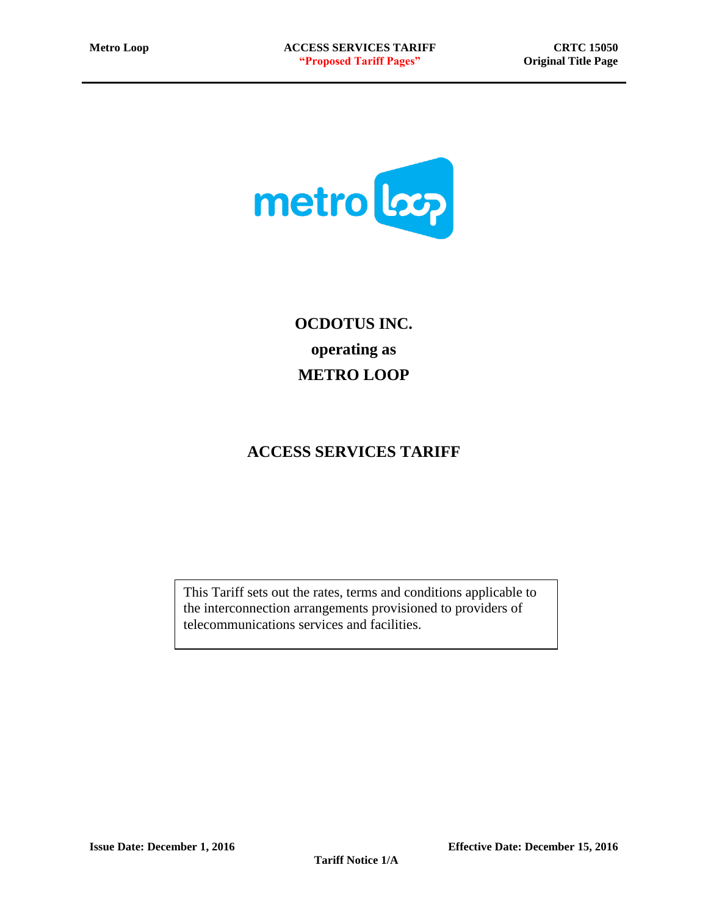

**OCDOTUS INC. operating as METRO LOOP**

# **ACCESS SERVICES TARIFF**

This Tariff sets out the rates, terms and conditions applicable to the interconnection arrangements provisioned to providers of telecommunications services and facilities.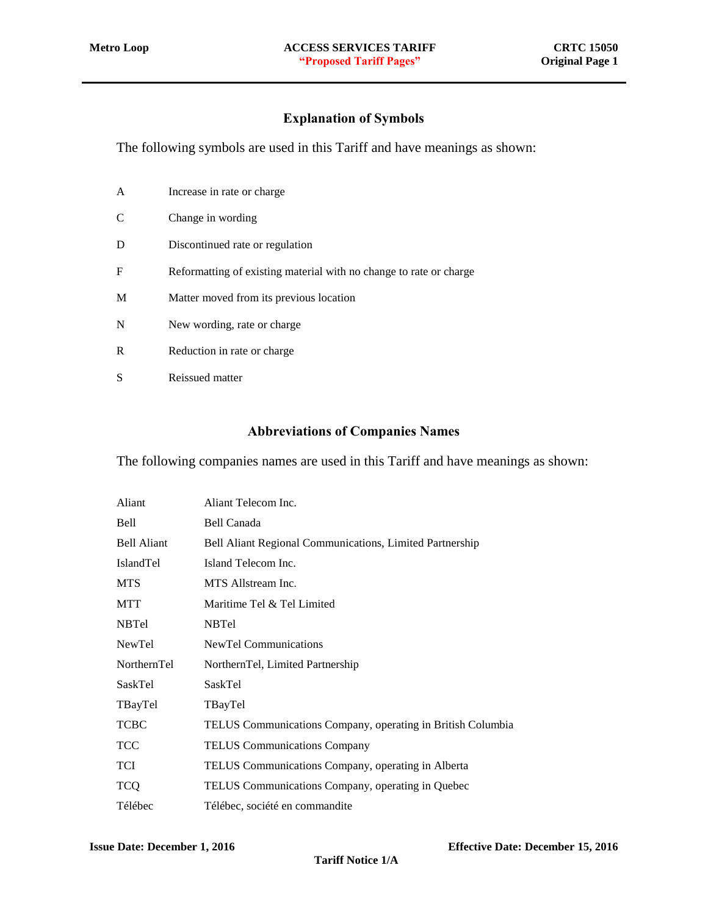# Explanation of Symbols

<span id="page-1-0"></span>The following symbols are used in this Tariff and have meanings as shown:

| A | Increase in rate or charge.                                        |
|---|--------------------------------------------------------------------|
| C | Change in wording                                                  |
| D | Discontinued rate or regulation                                    |
| F | Reformatting of existing material with no change to rate or charge |
| M | Matter moved from its previous location                            |
| N | New wording, rate or charge                                        |
| R | Reduction in rate or charge                                        |
| S | Reissued matter                                                    |

#### Abbreviations of Companies Names

<span id="page-1-1"></span>The following companies names are used in this Tariff and have meanings as shown:

| Aliant             | Aliant Telecom Inc.                                         |
|--------------------|-------------------------------------------------------------|
| Bell               | Bell Canada                                                 |
| <b>Bell Aliant</b> | Bell Aliant Regional Communications, Limited Partnership    |
| <b>IslandTel</b>   | Island Telecom Inc.                                         |
| <b>MTS</b>         | MTS Allstream Inc.                                          |
| MTT                | Maritime Tel & Tel Limited                                  |
| <b>NBTel</b>       | <b>NBTel</b>                                                |
| NewTel             | <b>NewTel Communications</b>                                |
| NorthernTel        | NorthernTel, Limited Partnership                            |
| SaskTel            | SaskTel                                                     |
| TBayTel            | TBayTel                                                     |
| <b>TCBC</b>        | TELUS Communications Company, operating in British Columbia |
| <b>TCC</b>         | <b>TELUS Communications Company</b>                         |
| TCI                | TELUS Communications Company, operating in Alberta          |
| <b>TCQ</b>         | TELUS Communications Company, operating in Quebec           |
| Télébec            | Télébec, société en commandite                              |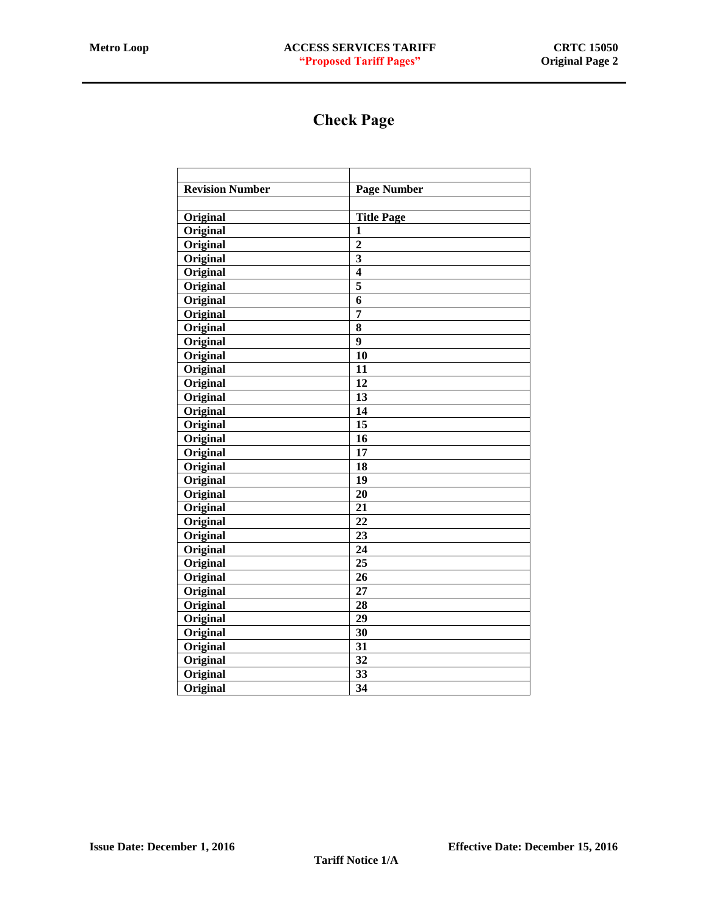# Check Page

<span id="page-2-0"></span>

| <b>Revision Number</b> | <b>Page Number</b> |
|------------------------|--------------------|
|                        |                    |
| Original               | <b>Title Page</b>  |
| Original               | 1                  |
| Original               | $\overline{2}$     |
| Original               | 3                  |
| Original               | 4                  |
| Original               | 5                  |
| Original               | 6                  |
| Original               | $\overline{7}$     |
| Original               | 8                  |
| Original               | $\boldsymbol{9}$   |
| Original               | 10                 |
| Original               | 11                 |
| Original               | 12                 |
| Original               | 13                 |
| Original               | 14                 |
| Original               | 15                 |
| Original               | 16                 |
| Original               | 17                 |
| Original               | 18                 |
| Original               | 19                 |
| Original               | 20                 |
| Original               | 21                 |
| Original               | 22                 |
| Original               | 23                 |
| Original               | 24                 |
| Original               | 25                 |
| Original               | 26                 |
| Original               | 27                 |
| Original               | 28                 |
| Original               | 29                 |
| Original               | 30                 |
| Original               | 31                 |
| Original               | 32                 |
| Original               | 33                 |
| <b>Original</b>        | $\overline{34}$    |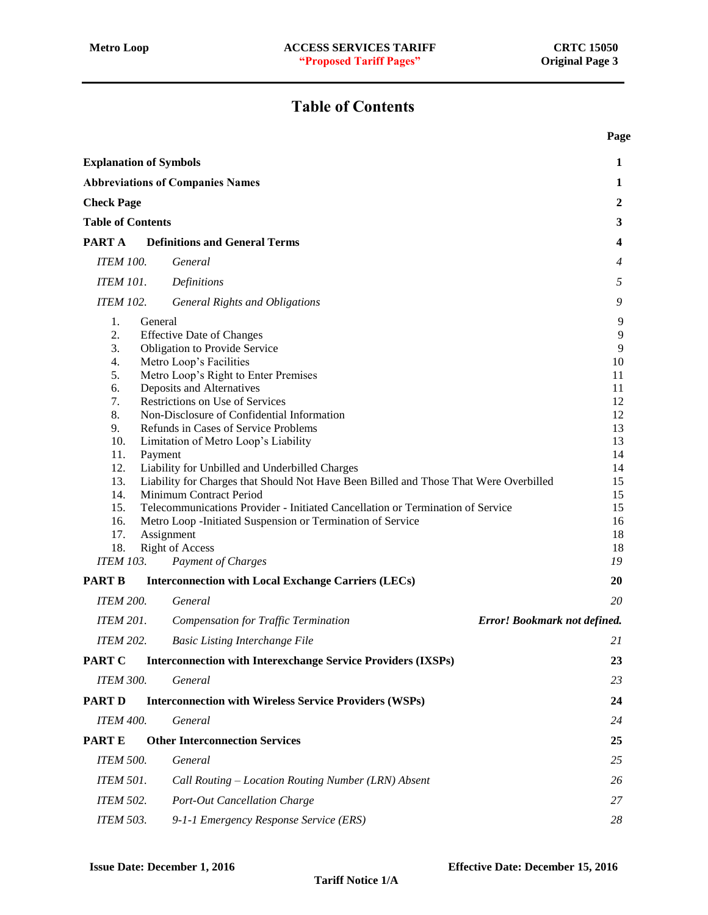# Table of Contents

**Page**

<span id="page-3-0"></span>

| <b>Explanation of Symbols</b>                                                                                                                         |                                                                                                                                                                                                                                                                                                                                                                                                                                                                                                                                                                                                                                                           | $\mathbf{1}$                                                                                          |
|-------------------------------------------------------------------------------------------------------------------------------------------------------|-----------------------------------------------------------------------------------------------------------------------------------------------------------------------------------------------------------------------------------------------------------------------------------------------------------------------------------------------------------------------------------------------------------------------------------------------------------------------------------------------------------------------------------------------------------------------------------------------------------------------------------------------------------|-------------------------------------------------------------------------------------------------------|
|                                                                                                                                                       | <b>Abbreviations of Companies Names</b>                                                                                                                                                                                                                                                                                                                                                                                                                                                                                                                                                                                                                   | 1                                                                                                     |
| <b>Check Page</b>                                                                                                                                     |                                                                                                                                                                                                                                                                                                                                                                                                                                                                                                                                                                                                                                                           | $\boldsymbol{2}$                                                                                      |
| <b>Table of Contents</b>                                                                                                                              |                                                                                                                                                                                                                                                                                                                                                                                                                                                                                                                                                                                                                                                           | $\mathbf{3}$                                                                                          |
| PART A                                                                                                                                                | <b>Definitions and General Terms</b>                                                                                                                                                                                                                                                                                                                                                                                                                                                                                                                                                                                                                      | $\overline{\mathbf{4}}$                                                                               |
|                                                                                                                                                       | General                                                                                                                                                                                                                                                                                                                                                                                                                                                                                                                                                                                                                                                   |                                                                                                       |
| <b>ITEM 100.</b>                                                                                                                                      |                                                                                                                                                                                                                                                                                                                                                                                                                                                                                                                                                                                                                                                           | $\overline{4}$                                                                                        |
| <b>ITEM 101.</b>                                                                                                                                      | Definitions                                                                                                                                                                                                                                                                                                                                                                                                                                                                                                                                                                                                                                               | 5                                                                                                     |
| <b>ITEM 102.</b>                                                                                                                                      | <b>General Rights and Obligations</b>                                                                                                                                                                                                                                                                                                                                                                                                                                                                                                                                                                                                                     | 9                                                                                                     |
| 1.<br>General<br>2.<br>3.<br>4.<br>5.<br>6.<br>7.<br>8.<br>9.<br>10.<br>11.<br>Payment<br>12.<br>13.<br>14.<br>15.<br>16.<br>17.<br>Assignment<br>18. | <b>Effective Date of Changes</b><br>Obligation to Provide Service<br>Metro Loop's Facilities<br>Metro Loop's Right to Enter Premises<br>Deposits and Alternatives<br>Restrictions on Use of Services<br>Non-Disclosure of Confidential Information<br>Refunds in Cases of Service Problems<br>Limitation of Metro Loop's Liability<br>Liability for Unbilled and Underbilled Charges<br>Liability for Charges that Should Not Have Been Billed and Those That Were Overbilled<br>Minimum Contract Period<br>Telecommunications Provider - Initiated Cancellation or Termination of Service<br>Metro Loop - Initiated Suspension or Termination of Service | 9<br>9<br>9<br>10<br>11<br>11<br>12<br>12<br>13<br>13<br>14<br>14<br>15<br>15<br>15<br>16<br>18<br>18 |
| <b>ITEM 103.</b>                                                                                                                                      | <b>Right of Access</b><br>Payment of Charges                                                                                                                                                                                                                                                                                                                                                                                                                                                                                                                                                                                                              | 19                                                                                                    |
| <b>PART B</b>                                                                                                                                         | <b>Interconnection with Local Exchange Carriers (LECs)</b>                                                                                                                                                                                                                                                                                                                                                                                                                                                                                                                                                                                                | 20                                                                                                    |
| <b>ITEM 200.</b>                                                                                                                                      | General                                                                                                                                                                                                                                                                                                                                                                                                                                                                                                                                                                                                                                                   | 20                                                                                                    |
| <b>ITEM 201.</b>                                                                                                                                      | Error! Bookmark not defined.<br><b>Compensation for Traffic Termination</b>                                                                                                                                                                                                                                                                                                                                                                                                                                                                                                                                                                               |                                                                                                       |
| <b>ITEM 202.</b>                                                                                                                                      | <b>Basic Listing Interchange File</b>                                                                                                                                                                                                                                                                                                                                                                                                                                                                                                                                                                                                                     | 21                                                                                                    |
| <b>PART C</b>                                                                                                                                         | <b>Interconnection with Interexchange Service Providers (IXSPs)</b>                                                                                                                                                                                                                                                                                                                                                                                                                                                                                                                                                                                       | 23                                                                                                    |
| <b>ITEM 300.</b>                                                                                                                                      | General                                                                                                                                                                                                                                                                                                                                                                                                                                                                                                                                                                                                                                                   | 23                                                                                                    |
| <b>PART D</b>                                                                                                                                         | <b>Interconnection with Wireless Service Providers (WSPs)</b>                                                                                                                                                                                                                                                                                                                                                                                                                                                                                                                                                                                             | 24                                                                                                    |
| <b>ITEM 400.</b>                                                                                                                                      | General                                                                                                                                                                                                                                                                                                                                                                                                                                                                                                                                                                                                                                                   | 24                                                                                                    |
| <b>PARTE</b>                                                                                                                                          | <b>Other Interconnection Services</b>                                                                                                                                                                                                                                                                                                                                                                                                                                                                                                                                                                                                                     | 25                                                                                                    |
| <b>ITEM 500.</b>                                                                                                                                      | General                                                                                                                                                                                                                                                                                                                                                                                                                                                                                                                                                                                                                                                   | 25                                                                                                    |
| <b>ITEM 501.</b>                                                                                                                                      | Call Routing - Location Routing Number (LRN) Absent                                                                                                                                                                                                                                                                                                                                                                                                                                                                                                                                                                                                       | 26                                                                                                    |
| <b>ITEM 502.</b>                                                                                                                                      | Port-Out Cancellation Charge                                                                                                                                                                                                                                                                                                                                                                                                                                                                                                                                                                                                                              | 27                                                                                                    |
| <b>ITEM 503.</b>                                                                                                                                      | 9-1-1 Emergency Response Service (ERS)                                                                                                                                                                                                                                                                                                                                                                                                                                                                                                                                                                                                                    | 28                                                                                                    |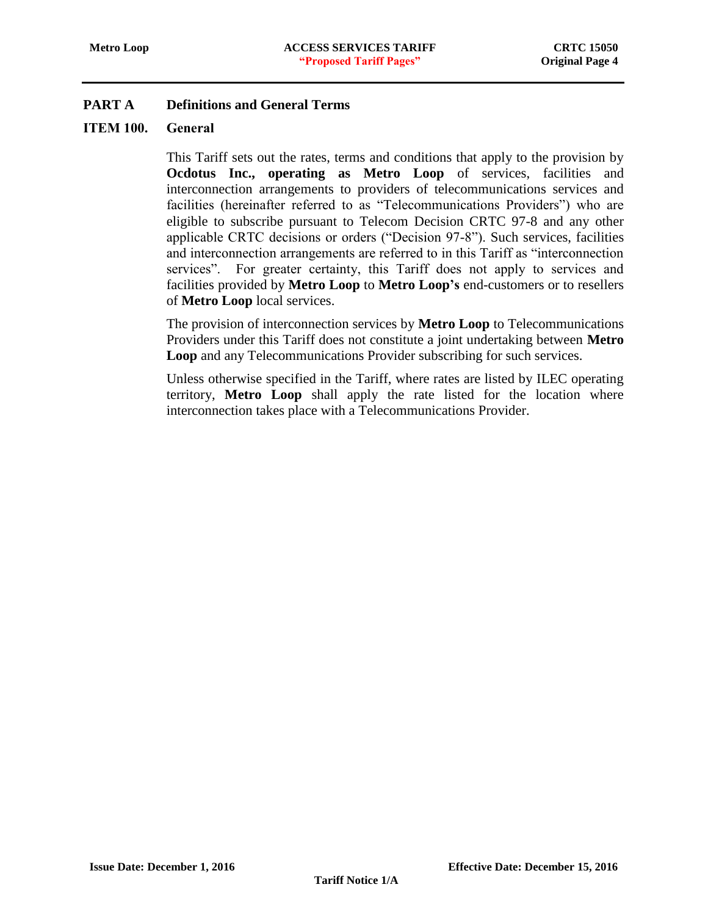# <span id="page-4-1"></span><span id="page-4-0"></span>ITEM 100. General

This Tariff sets out the rates, terms and conditions that apply to the provision by **Ocdotus Inc., operating as Metro Loop** of services, facilities and interconnection arrangements to providers of telecommunications services and facilities (hereinafter referred to as "Telecommunications Providers") who are eligible to subscribe pursuant to Telecom Decision CRTC 97-8 and any other applicable CRTC decisions or orders ("Decision 97-8"). Such services, facilities and interconnection arrangements are referred to in this Tariff as "interconnection services". For greater certainty, this Tariff does not apply to services and facilities provided by **Metro Loop** to **Metro Loop's** end-customers or to resellers of **Metro Loop** local services.

The provision of interconnection services by **Metro Loop** to Telecommunications Providers under this Tariff does not constitute a joint undertaking between **Metro Loop** and any Telecommunications Provider subscribing for such services.

Unless otherwise specified in the Tariff, where rates are listed by ILEC operating territory, **Metro Loop** shall apply the rate listed for the location where interconnection takes place with a Telecommunications Provider.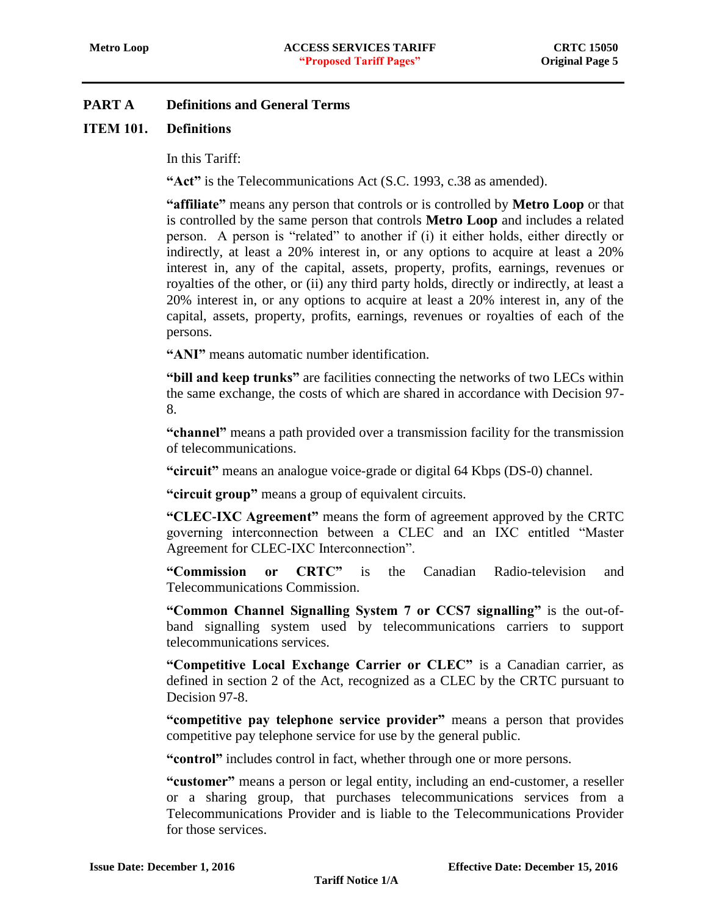# <span id="page-5-0"></span>ITEM 101. Definitions

In this Tariff:

**"Act"** is the Telecommunications Act (S.C. 1993, c.38 as amended).

**"affiliate"** means any person that controls or is controlled by **Metro Loop** or that is controlled by the same person that controls **Metro Loop** and includes a related person. A person is "related" to another if (i) it either holds, either directly or indirectly, at least a 20% interest in, or any options to acquire at least a 20% interest in, any of the capital, assets, property, profits, earnings, revenues or royalties of the other, or (ii) any third party holds, directly or indirectly, at least a 20% interest in, or any options to acquire at least a 20% interest in, any of the capital, assets, property, profits, earnings, revenues or royalties of each of the persons.

**"ANI"** means automatic number identification.

**"bill and keep trunks"** are facilities connecting the networks of two LECs within the same exchange, the costs of which are shared in accordance with Decision 97- 8.

**"channel"** means a path provided over a transmission facility for the transmission of telecommunications.

**"circuit"** means an analogue voice-grade or digital 64 Kbps (DS-0) channel.

**"circuit group"** means a group of equivalent circuits.

**"CLEC-IXC Agreement"** means the form of agreement approved by the CRTC governing interconnection between a CLEC and an IXC entitled "Master Agreement for CLEC-IXC Interconnection".

**"Commission or CRTC"** is the Canadian Radio-television and Telecommunications Commission.

**"Common Channel Signalling System 7 or CCS7 signalling"** is the out-ofband signalling system used by telecommunications carriers to support telecommunications services.

**"Competitive Local Exchange Carrier or CLEC"** is a Canadian carrier, as defined in section 2 of the Act, recognized as a CLEC by the CRTC pursuant to Decision 97-8.

**"competitive pay telephone service provider"** means a person that provides competitive pay telephone service for use by the general public.

**"control"** includes control in fact, whether through one or more persons.

**"customer"** means a person or legal entity, including an end-customer, a reseller or a sharing group, that purchases telecommunications services from a Telecommunications Provider and is liable to the Telecommunications Provider for those services.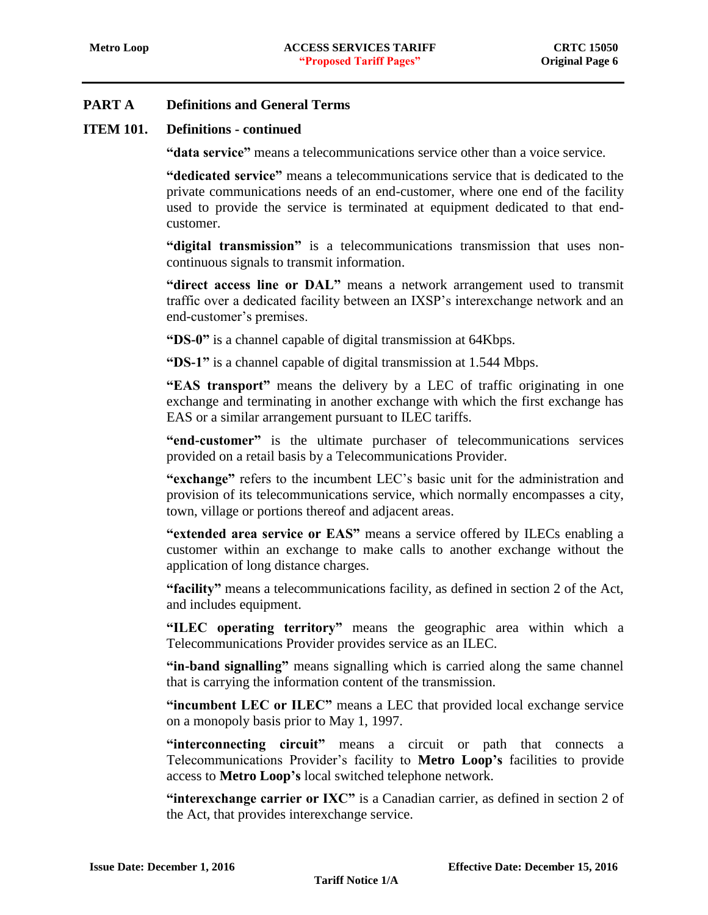### **ITEM 101. Definitions - continued**

**"data service"** means a telecommunications service other than a voice service.

**"dedicated service"** means a telecommunications service that is dedicated to the private communications needs of an end-customer, where one end of the facility used to provide the service is terminated at equipment dedicated to that endcustomer.

**"digital transmission"** is a telecommunications transmission that uses noncontinuous signals to transmit information.

**"direct access line or DAL"** means a network arrangement used to transmit traffic over a dedicated facility between an IXSP's interexchange network and an end-customer's premises.

**"DS-0"** is a channel capable of digital transmission at 64Kbps.

**"DS-1"** is a channel capable of digital transmission at 1.544 Mbps.

**"EAS transport"** means the delivery by a LEC of traffic originating in one exchange and terminating in another exchange with which the first exchange has EAS or a similar arrangement pursuant to ILEC tariffs.

**"end-customer"** is the ultimate purchaser of telecommunications services provided on a retail basis by a Telecommunications Provider.

**"exchange"** refers to the incumbent LEC's basic unit for the administration and provision of its telecommunications service, which normally encompasses a city, town, village or portions thereof and adjacent areas.

**"extended area service or EAS"** means a service offered by ILECs enabling a customer within an exchange to make calls to another exchange without the application of long distance charges.

**"facility"** means a telecommunications facility, as defined in section 2 of the Act, and includes equipment.

**"ILEC operating territory"** means the geographic area within which a Telecommunications Provider provides service as an ILEC.

**"in-band signalling"** means signalling which is carried along the same channel that is carrying the information content of the transmission.

**"incumbent LEC or ILEC"** means a LEC that provided local exchange service on a monopoly basis prior to May 1, 1997.

**"interconnecting circuit"** means a circuit or path that connects a Telecommunications Provider's facility to **Metro Loop's** facilities to provide access to **Metro Loop's** local switched telephone network.

**"interexchange carrier or IXC"** is a Canadian carrier, as defined in section 2 of the Act, that provides interexchange service.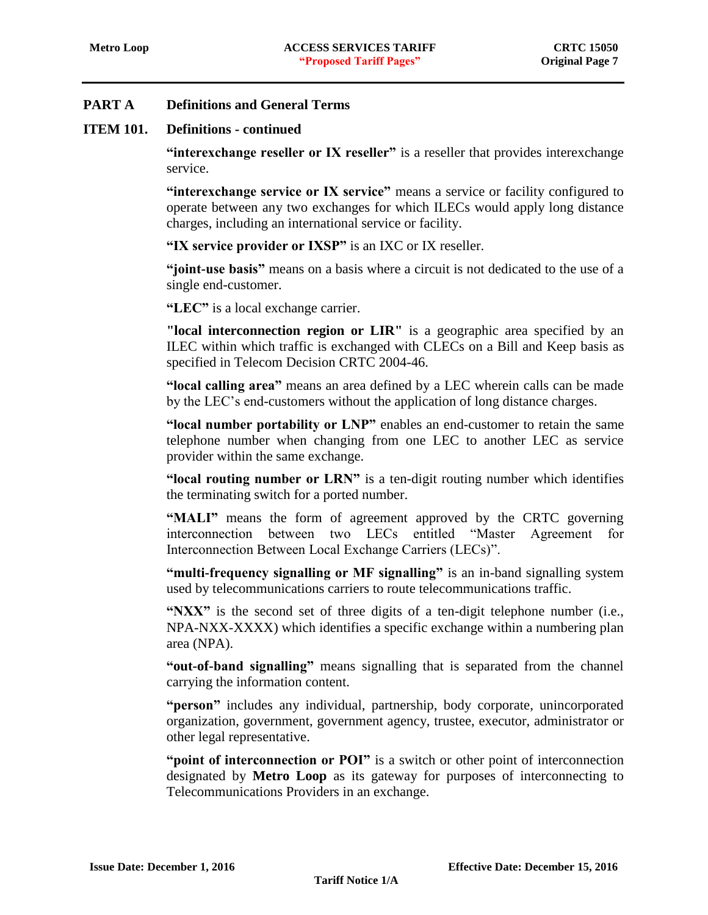### **ITEM 101. Definitions - continued**

**"interexchange reseller or IX reseller"** is a reseller that provides interexchange service.

**"interexchange service or IX service"** means a service or facility configured to operate between any two exchanges for which ILECs would apply long distance charges, including an international service or facility.

**"IX service provider or IXSP"** is an IXC or IX reseller.

**"joint-use basis"** means on a basis where a circuit is not dedicated to the use of a single end-customer.

**"LEC"** is a local exchange carrier.

**"local interconnection region or LIR"** is a geographic area specified by an ILEC within which traffic is exchanged with CLECs on a Bill and Keep basis as specified in Telecom Decision CRTC 2004-46.

**"local calling area"** means an area defined by a LEC wherein calls can be made by the LEC's end-customers without the application of long distance charges.

**"local number portability or LNP"** enables an end-customer to retain the same telephone number when changing from one LEC to another LEC as service provider within the same exchange.

**"local routing number or LRN"** is a ten-digit routing number which identifies the terminating switch for a ported number.

**"MALI"** means the form of agreement approved by the CRTC governing interconnection between two LECs entitled "Master Agreement for Interconnection Between Local Exchange Carriers (LECs)".

**"multi-frequency signalling or MF signalling"** is an in-band signalling system used by telecommunications carriers to route telecommunications traffic.

**"NXX"** is the second set of three digits of a ten-digit telephone number (i.e., NPA-NXX-XXXX) which identifies a specific exchange within a numbering plan area (NPA).

**"out-of-band signalling"** means signalling that is separated from the channel carrying the information content.

**"person"** includes any individual, partnership, body corporate, unincorporated organization, government, government agency, trustee, executor, administrator or other legal representative.

**"point of interconnection or POI"** is a switch or other point of interconnection designated by **Metro Loop** as its gateway for purposes of interconnecting to Telecommunications Providers in an exchange.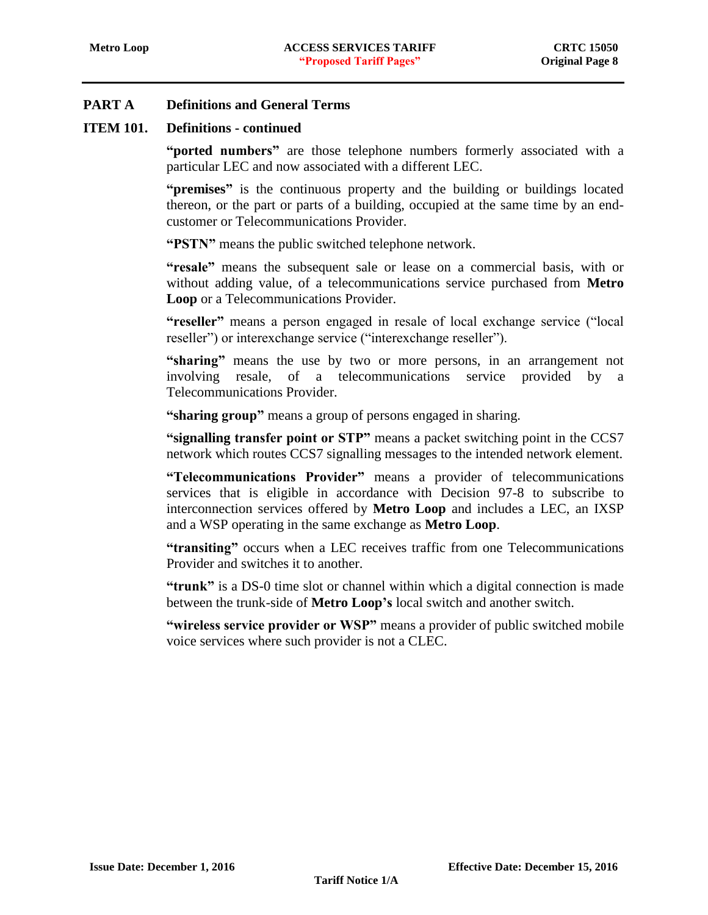### **ITEM 101. Definitions - continued**

**"ported numbers"** are those telephone numbers formerly associated with a particular LEC and now associated with a different LEC.

**"premises"** is the continuous property and the building or buildings located thereon, or the part or parts of a building, occupied at the same time by an endcustomer or Telecommunications Provider.

**"PSTN"** means the public switched telephone network.

**"resale"** means the subsequent sale or lease on a commercial basis, with or without adding value, of a telecommunications service purchased from **Metro Loop** or a Telecommunications Provider.

**"reseller"** means a person engaged in resale of local exchange service ("local reseller") or interexchange service ("interexchange reseller").

**"sharing"** means the use by two or more persons, in an arrangement not involving resale, of a telecommunications service provided by a Telecommunications Provider.

**"sharing group"** means a group of persons engaged in sharing.

**"signalling transfer point or STP"** means a packet switching point in the CCS7 network which routes CCS7 signalling messages to the intended network element.

**"Telecommunications Provider"** means a provider of telecommunications services that is eligible in accordance with Decision 97-8 to subscribe to interconnection services offered by **Metro Loop** and includes a LEC, an IXSP and a WSP operating in the same exchange as **Metro Loop**.

**"transiting"** occurs when a LEC receives traffic from one Telecommunications Provider and switches it to another.

**"trunk"** is a DS-0 time slot or channel within which a digital connection is made between the trunk-side of **Metro Loop's** local switch and another switch.

**"wireless service provider or WSP"** means a provider of public switched mobile voice services where such provider is not a CLEC.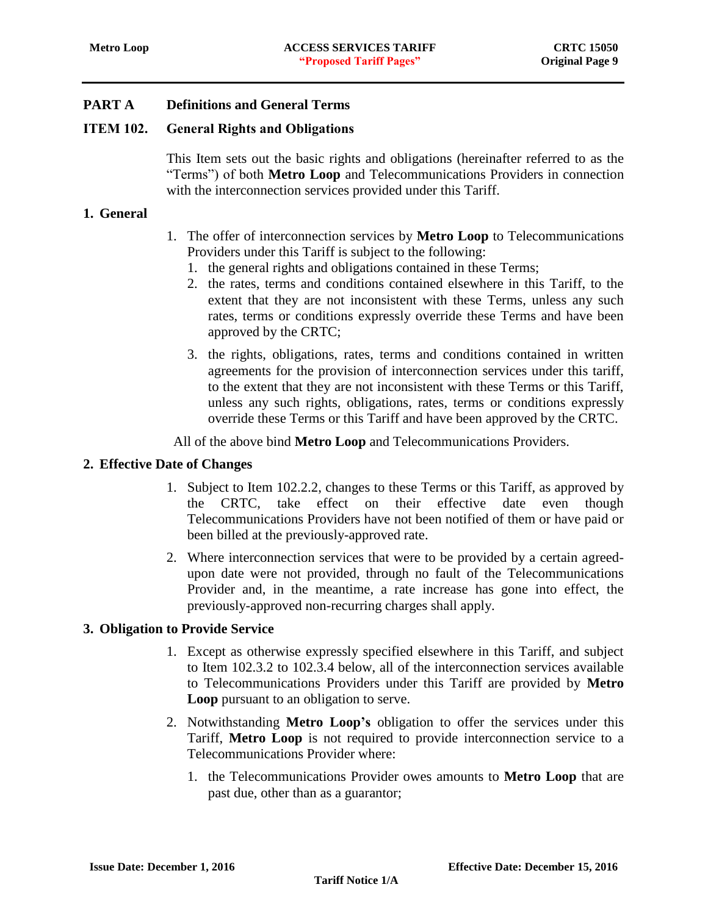### <span id="page-9-0"></span>ITEM 102. General Rights and Obligations

This Item sets out the basic rights and obligations (hereinafter referred to as the "Terms") of both **Metro Loop** and Telecommunications Providers in connection with the interconnection services provided under this Tariff.

#### <span id="page-9-1"></span>**1. General**

- 1. The offer of interconnection services by **Metro Loop** to Telecommunications Providers under this Tariff is subject to the following:
	- 1. the general rights and obligations contained in these Terms;
	- 2. the rates, terms and conditions contained elsewhere in this Tariff, to the extent that they are not inconsistent with these Terms, unless any such rates, terms or conditions expressly override these Terms and have been approved by the CRTC;
	- 3. the rights, obligations, rates, terms and conditions contained in written agreements for the provision of interconnection services under this tariff, to the extent that they are not inconsistent with these Terms or this Tariff, unless any such rights, obligations, rates, terms or conditions expressly override these Terms or this Tariff and have been approved by the CRTC.

All of the above bind **Metro Loop** and Telecommunications Providers.

#### <span id="page-9-2"></span>**2. Effective Date of Changes**

- 1. Subject to Item 102.2.2, changes to these Terms or this Tariff, as approved by the CRTC, take effect on their effective date even though Telecommunications Providers have not been notified of them or have paid or been billed at the previously-approved rate.
- 2. Where interconnection services that were to be provided by a certain agreedupon date were not provided, through no fault of the Telecommunications Provider and, in the meantime, a rate increase has gone into effect, the previously-approved non-recurring charges shall apply.

### <span id="page-9-3"></span>**3. Obligation to Provide Service**

- 1. Except as otherwise expressly specified elsewhere in this Tariff, and subject to Item 102.3.2 to 102.3.4 below, all of the interconnection services available to Telecommunications Providers under this Tariff are provided by **Metro Loop** pursuant to an obligation to serve.
- 2. Notwithstanding **Metro Loop's** obligation to offer the services under this Tariff, **Metro Loop** is not required to provide interconnection service to a Telecommunications Provider where:
	- 1. the Telecommunications Provider owes amounts to **Metro Loop** that are past due, other than as a guarantor;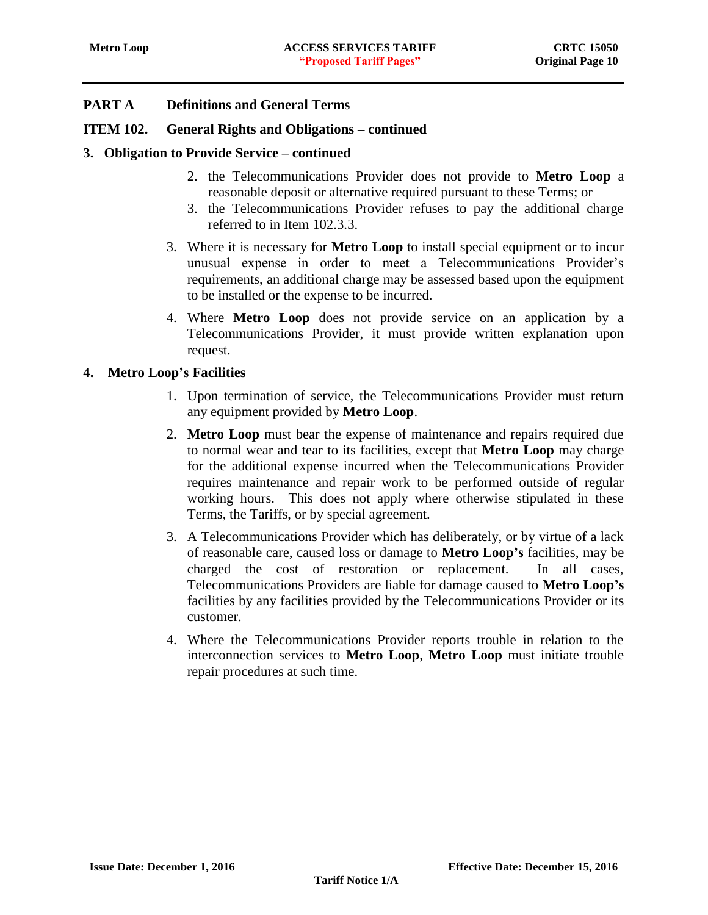### **ITEM 102. General Rights and Obligations – continued**

### **3. Obligation to Provide Service – continued**

- 2. the Telecommunications Provider does not provide to **Metro Loop** a reasonable deposit or alternative required pursuant to these Terms; or
- 3. the Telecommunications Provider refuses to pay the additional charge referred to in Item 102.3.3.
- 3. Where it is necessary for **Metro Loop** to install special equipment or to incur unusual expense in order to meet a Telecommunications Provider's requirements, an additional charge may be assessed based upon the equipment to be installed or the expense to be incurred.
- 4. Where **Metro Loop** does not provide service on an application by a Telecommunications Provider, it must provide written explanation upon request.

### <span id="page-10-0"></span>**4. Metro Loop's Facilities**

- 1. Upon termination of service, the Telecommunications Provider must return any equipment provided by **Metro Loop**.
- 2. **Metro Loop** must bear the expense of maintenance and repairs required due to normal wear and tear to its facilities, except that **Metro Loop** may charge for the additional expense incurred when the Telecommunications Provider requires maintenance and repair work to be performed outside of regular working hours. This does not apply where otherwise stipulated in these Terms, the Tariffs, or by special agreement.
- 3. A Telecommunications Provider which has deliberately, or by virtue of a lack of reasonable care, caused loss or damage to **Metro Loop's** facilities, may be charged the cost of restoration or replacement. In all cases, Telecommunications Providers are liable for damage caused to **Metro Loop's** facilities by any facilities provided by the Telecommunications Provider or its customer.
- 4. Where the Telecommunications Provider reports trouble in relation to the interconnection services to **Metro Loop**, **Metro Loop** must initiate trouble repair procedures at such time.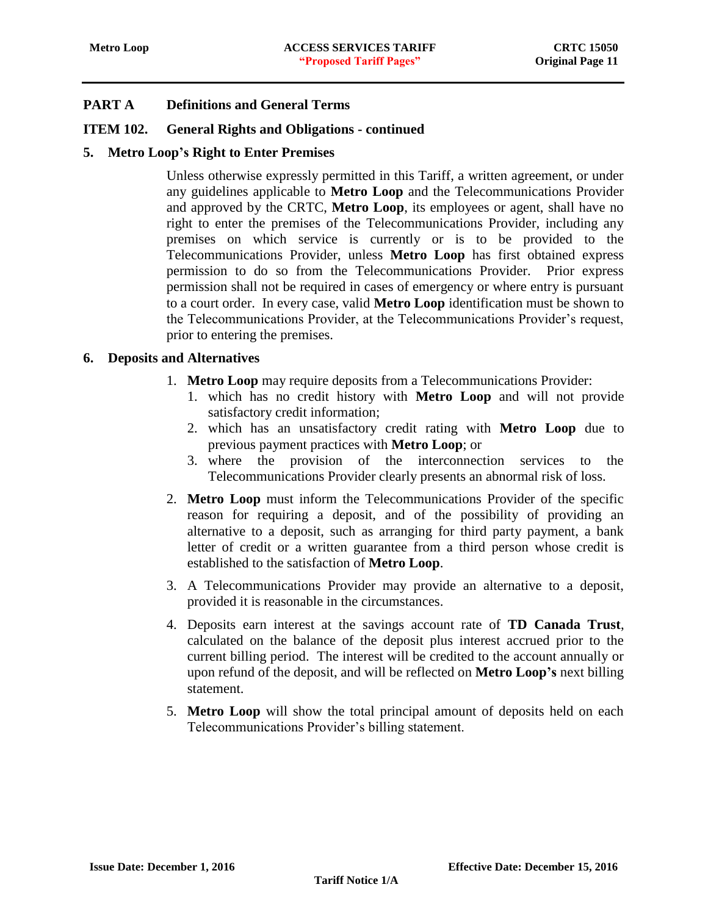### **ITEM 102. General Rights and Obligations - continued**

#### <span id="page-11-0"></span>**5. Metro Loop's Right to Enter Premises**

Unless otherwise expressly permitted in this Tariff, a written agreement, or under any guidelines applicable to **Metro Loop** and the Telecommunications Provider and approved by the CRTC, **Metro Loop**, its employees or agent, shall have no right to enter the premises of the Telecommunications Provider, including any premises on which service is currently or is to be provided to the Telecommunications Provider, unless **Metro Loop** has first obtained express permission to do so from the Telecommunications Provider. Prior express permission shall not be required in cases of emergency or where entry is pursuant to a court order. In every case, valid **Metro Loop** identification must be shown to the Telecommunications Provider, at the Telecommunications Provider's request, prior to entering the premises.

#### <span id="page-11-1"></span>**6. Deposits and Alternatives**

- 1. **Metro Loop** may require deposits from a Telecommunications Provider:
	- 1. which has no credit history with **Metro Loop** and will not provide satisfactory credit information;
	- 2. which has an unsatisfactory credit rating with **Metro Loop** due to previous payment practices with **Metro Loop**; or
	- 3. where the provision of the interconnection services to the Telecommunications Provider clearly presents an abnormal risk of loss.
- 2. **Metro Loop** must inform the Telecommunications Provider of the specific reason for requiring a deposit, and of the possibility of providing an alternative to a deposit, such as arranging for third party payment, a bank letter of credit or a written guarantee from a third person whose credit is established to the satisfaction of **Metro Loop**.
- 3. A Telecommunications Provider may provide an alternative to a deposit, provided it is reasonable in the circumstances.
- 4. Deposits earn interest at the savings account rate of **TD Canada Trust**, calculated on the balance of the deposit plus interest accrued prior to the current billing period. The interest will be credited to the account annually or upon refund of the deposit, and will be reflected on **Metro Loop's** next billing statement.
- 5. **Metro Loop** will show the total principal amount of deposits held on each Telecommunications Provider's billing statement.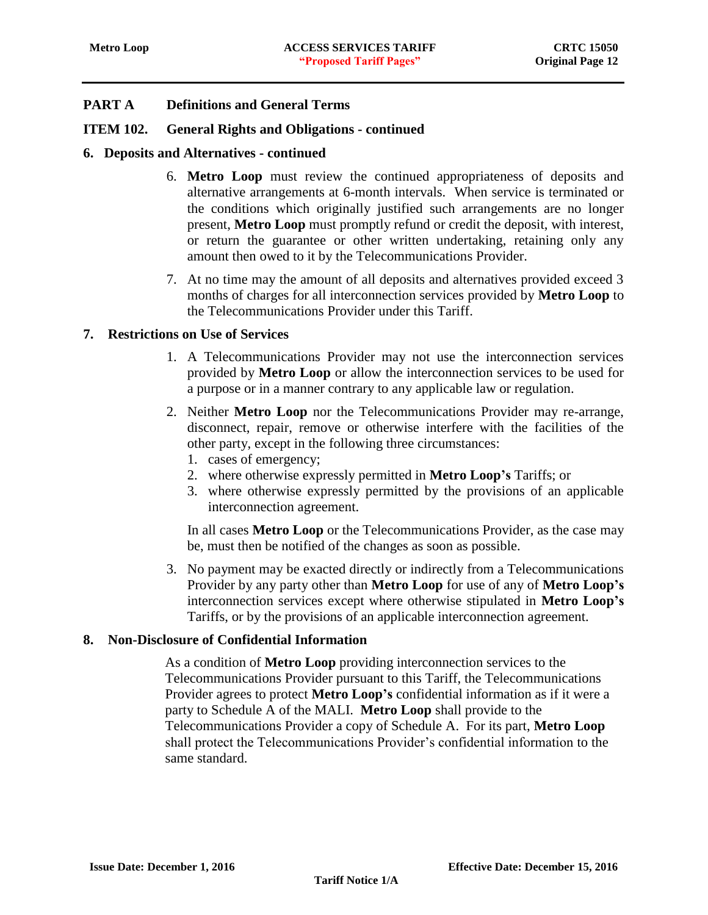#### **ITEM 102. General Rights and Obligations - continued**

#### **6. Deposits and Alternatives - continued**

- 6. **Metro Loop** must review the continued appropriateness of deposits and alternative arrangements at 6-month intervals. When service is terminated or the conditions which originally justified such arrangements are no longer present, **Metro Loop** must promptly refund or credit the deposit, with interest, or return the guarantee or other written undertaking, retaining only any amount then owed to it by the Telecommunications Provider.
- 7. At no time may the amount of all deposits and alternatives provided exceed 3 months of charges for all interconnection services provided by **Metro Loop** to the Telecommunications Provider under this Tariff.

#### <span id="page-12-0"></span>**7. Restrictions on Use of Services**

- 1. A Telecommunications Provider may not use the interconnection services provided by **Metro Loop** or allow the interconnection services to be used for a purpose or in a manner contrary to any applicable law or regulation.
- 2. Neither **Metro Loop** nor the Telecommunications Provider may re-arrange, disconnect, repair, remove or otherwise interfere with the facilities of the other party, except in the following three circumstances:
	- 1. cases of emergency;
	- 2. where otherwise expressly permitted in **Metro Loop's** Tariffs; or
	- 3. where otherwise expressly permitted by the provisions of an applicable interconnection agreement.

In all cases **Metro Loop** or the Telecommunications Provider, as the case may be, must then be notified of the changes as soon as possible.

3. No payment may be exacted directly or indirectly from a Telecommunications Provider by any party other than **Metro Loop** for use of any of **Metro Loop's** interconnection services except where otherwise stipulated in **Metro Loop's** Tariffs, or by the provisions of an applicable interconnection agreement.

#### <span id="page-12-1"></span>**8. Non-Disclosure of Confidential Information**

As a condition of **Metro Loop** providing interconnection services to the Telecommunications Provider pursuant to this Tariff, the Telecommunications Provider agrees to protect **Metro Loop's** confidential information as if it were a party to Schedule A of the MALI. **Metro Loop** shall provide to the Telecommunications Provider a copy of Schedule A. For its part, **Metro Loop** shall protect the Telecommunications Provider's confidential information to the same standard.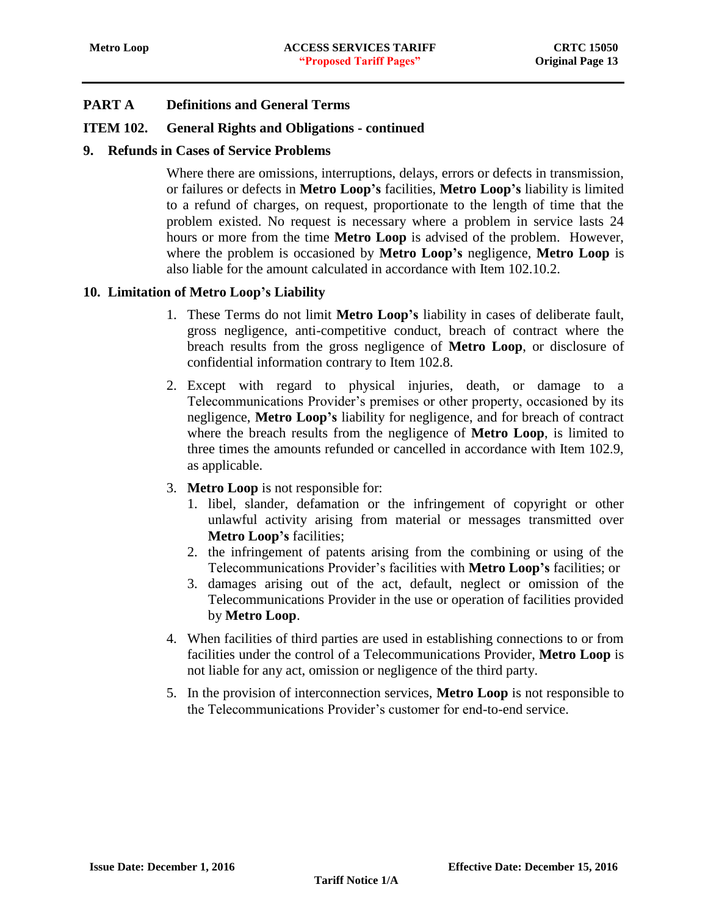### **ITEM 102. General Rights and Obligations - continued**

### <span id="page-13-0"></span>**9. Refunds in Cases of Service Problems**

Where there are omissions, interruptions, delays, errors or defects in transmission, or failures or defects in **Metro Loop's** facilities, **Metro Loop's** liability is limited to a refund of charges, on request, proportionate to the length of time that the problem existed. No request is necessary where a problem in service lasts 24 hours or more from the time **Metro Loop** is advised of the problem. However, where the problem is occasioned by **Metro Loop's** negligence, **Metro Loop** is also liable for the amount calculated in accordance with Item 102.10.2.

### <span id="page-13-1"></span>**10. Limitation of Metro Loop's Liability**

- 1. These Terms do not limit **Metro Loop's** liability in cases of deliberate fault, gross negligence, anti-competitive conduct, breach of contract where the breach results from the gross negligence of **Metro Loop**, or disclosure of confidential information contrary to Item 102.8.
- 2. Except with regard to physical injuries, death, or damage to a Telecommunications Provider's premises or other property, occasioned by its negligence, **Metro Loop's** liability for negligence, and for breach of contract where the breach results from the negligence of **Metro Loop**, is limited to three times the amounts refunded or cancelled in accordance with Item 102.9, as applicable.
- 3. **Metro Loop** is not responsible for:
	- 1. libel, slander, defamation or the infringement of copyright or other unlawful activity arising from material or messages transmitted over **Metro Loop's** facilities;
	- 2. the infringement of patents arising from the combining or using of the Telecommunications Provider's facilities with **Metro Loop's** facilities; or
	- 3. damages arising out of the act, default, neglect or omission of the Telecommunications Provider in the use or operation of facilities provided by **Metro Loop**.
- 4. When facilities of third parties are used in establishing connections to or from facilities under the control of a Telecommunications Provider, **Metro Loop** is not liable for any act, omission or negligence of the third party.
- 5. In the provision of interconnection services, **Metro Loop** is not responsible to the Telecommunications Provider's customer for end-to-end service.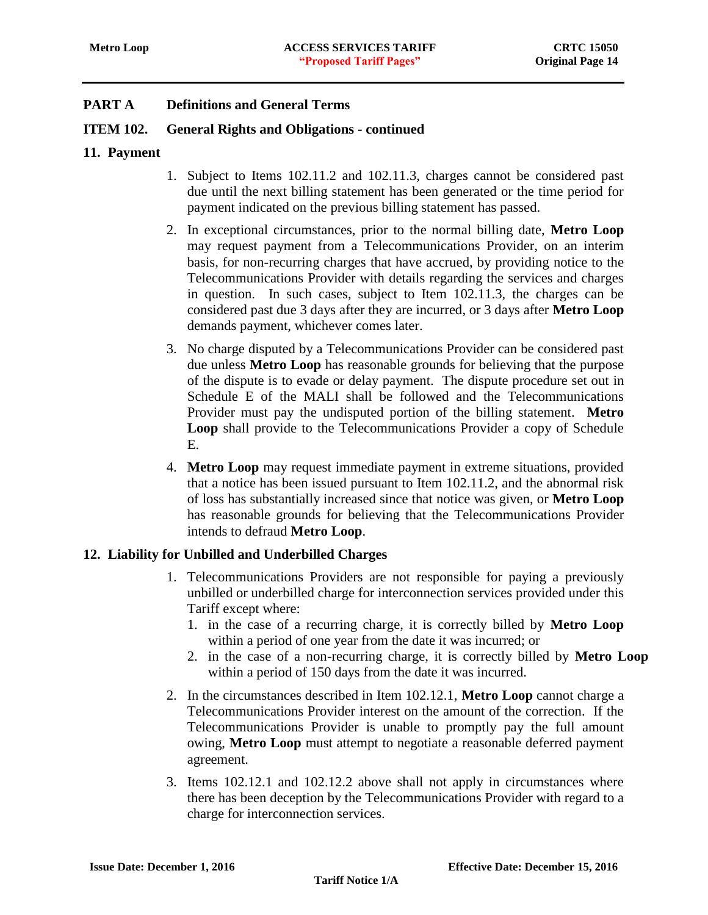### **ITEM 102. General Rights and Obligations - continued**

#### <span id="page-14-0"></span>**11. Payment**

- 1. Subject to Items 102.11.2 and 102.11.3, charges cannot be considered past due until the next billing statement has been generated or the time period for payment indicated on the previous billing statement has passed.
- 2. In exceptional circumstances, prior to the normal billing date, **Metro Loop** may request payment from a Telecommunications Provider, on an interim basis, for non-recurring charges that have accrued, by providing notice to the Telecommunications Provider with details regarding the services and charges in question. In such cases, subject to Item 102.11.3, the charges can be considered past due 3 days after they are incurred, or 3 days after **Metro Loop** demands payment, whichever comes later.
- 3. No charge disputed by a Telecommunications Provider can be considered past due unless **Metro Loop** has reasonable grounds for believing that the purpose of the dispute is to evade or delay payment. The dispute procedure set out in Schedule E of the MALI shall be followed and the Telecommunications Provider must pay the undisputed portion of the billing statement. **Metro Loop** shall provide to the Telecommunications Provider a copy of Schedule E.
- 4. **Metro Loop** may request immediate payment in extreme situations, provided that a notice has been issued pursuant to Item 102.11.2, and the abnormal risk of loss has substantially increased since that notice was given, or **Metro Loop** has reasonable grounds for believing that the Telecommunications Provider intends to defraud **Metro Loop**.

### <span id="page-14-1"></span>**12. Liability for Unbilled and Underbilled Charges**

- 1. Telecommunications Providers are not responsible for paying a previously unbilled or underbilled charge for interconnection services provided under this Tariff except where:
	- 1. in the case of a recurring charge, it is correctly billed by **Metro Loop** within a period of one year from the date it was incurred; or
	- 2. in the case of a non-recurring charge, it is correctly billed by **Metro Loop** within a period of 150 days from the date it was incurred.
- 2. In the circumstances described in Item 102.12.1, **Metro Loop** cannot charge a Telecommunications Provider interest on the amount of the correction. If the Telecommunications Provider is unable to promptly pay the full amount owing, **Metro Loop** must attempt to negotiate a reasonable deferred payment agreement.
- 3. Items 102.12.1 and 102.12.2 above shall not apply in circumstances where there has been deception by the Telecommunications Provider with regard to a charge for interconnection services.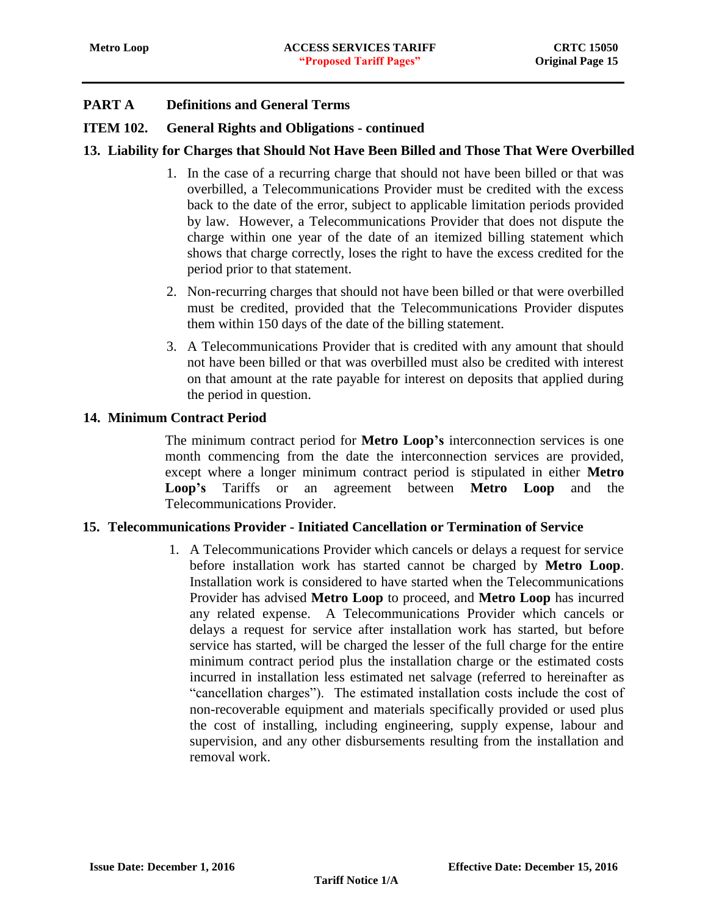### **ITEM 102. General Rights and Obligations - continued**

### <span id="page-15-0"></span>**13. Liability for Charges that Should Not Have Been Billed and Those That Were Overbilled**

- 1. In the case of a recurring charge that should not have been billed or that was overbilled, a Telecommunications Provider must be credited with the excess back to the date of the error, subject to applicable limitation periods provided by law. However, a Telecommunications Provider that does not dispute the charge within one year of the date of an itemized billing statement which shows that charge correctly, loses the right to have the excess credited for the period prior to that statement.
- 2. Non-recurring charges that should not have been billed or that were overbilled must be credited, provided that the Telecommunications Provider disputes them within 150 days of the date of the billing statement.
- 3. A Telecommunications Provider that is credited with any amount that should not have been billed or that was overbilled must also be credited with interest on that amount at the rate payable for interest on deposits that applied during the period in question.

#### <span id="page-15-1"></span>**14. Minimum Contract Period**

The minimum contract period for **Metro Loop's** interconnection services is one month commencing from the date the interconnection services are provided, except where a longer minimum contract period is stipulated in either **Metro Loop's** Tariffs or an agreement between **Metro Loop** and the Telecommunications Provider.

### <span id="page-15-2"></span>**15. Telecommunications Provider - Initiated Cancellation or Termination of Service**

1. A Telecommunications Provider which cancels or delays a request for service before installation work has started cannot be charged by **Metro Loop**. Installation work is considered to have started when the Telecommunications Provider has advised **Metro Loop** to proceed, and **Metro Loop** has incurred any related expense. A Telecommunications Provider which cancels or delays a request for service after installation work has started, but before service has started, will be charged the lesser of the full charge for the entire minimum contract period plus the installation charge or the estimated costs incurred in installation less estimated net salvage (referred to hereinafter as "cancellation charges"). The estimated installation costs include the cost of non-recoverable equipment and materials specifically provided or used plus the cost of installing, including engineering, supply expense, labour and supervision, and any other disbursements resulting from the installation and removal work.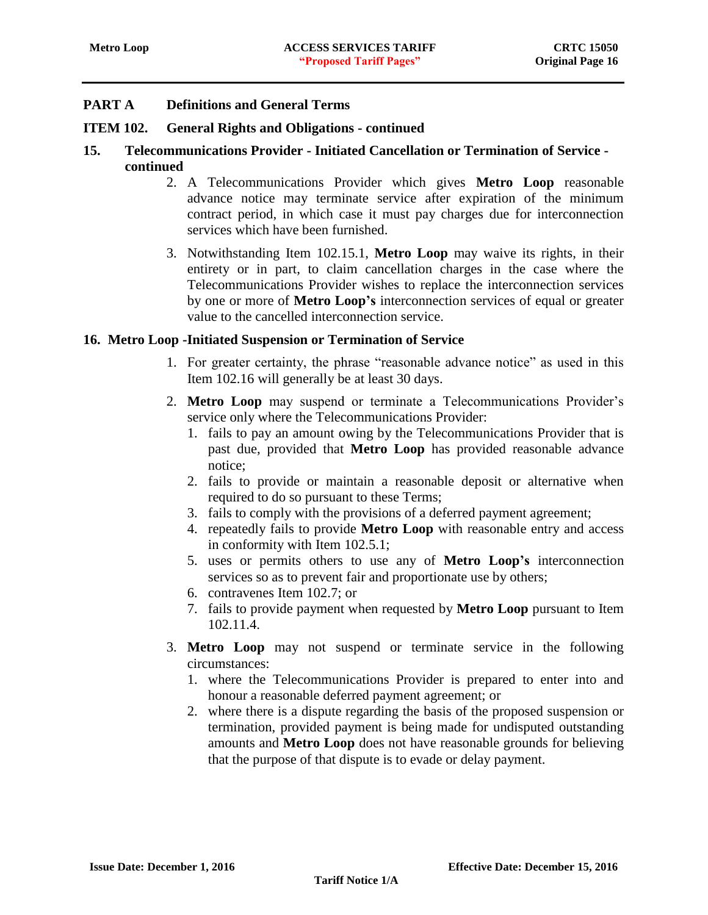### **ITEM 102. General Rights and Obligations - continued**

- **15. Telecommunications Provider - Initiated Cancellation or Termination of Service continued**
	- 2. A Telecommunications Provider which gives **Metro Loop** reasonable advance notice may terminate service after expiration of the minimum contract period, in which case it must pay charges due for interconnection services which have been furnished.
	- 3. Notwithstanding Item 102.15.1, **Metro Loop** may waive its rights, in their entirety or in part, to claim cancellation charges in the case where the Telecommunications Provider wishes to replace the interconnection services by one or more of **Metro Loop's** interconnection services of equal or greater value to the cancelled interconnection service.

### <span id="page-16-0"></span>**16. Metro Loop -Initiated Suspension or Termination of Service**

- 1. For greater certainty, the phrase "reasonable advance notice" as used in this Item 102.16 will generally be at least 30 days.
- 2. **Metro Loop** may suspend or terminate a Telecommunications Provider's service only where the Telecommunications Provider:
	- 1. fails to pay an amount owing by the Telecommunications Provider that is past due, provided that **Metro Loop** has provided reasonable advance notice;
	- 2. fails to provide or maintain a reasonable deposit or alternative when required to do so pursuant to these Terms;
	- 3. fails to comply with the provisions of a deferred payment agreement;
	- 4. repeatedly fails to provide **Metro Loop** with reasonable entry and access in conformity with Item 102.5.1;
	- 5. uses or permits others to use any of **Metro Loop's** interconnection services so as to prevent fair and proportionate use by others;
	- 6. contravenes Item 102.7; or
	- 7. fails to provide payment when requested by **Metro Loop** pursuant to Item 102.11.4.
- 3. **Metro Loop** may not suspend or terminate service in the following circumstances:
	- 1. where the Telecommunications Provider is prepared to enter into and honour a reasonable deferred payment agreement; or
	- 2. where there is a dispute regarding the basis of the proposed suspension or termination, provided payment is being made for undisputed outstanding amounts and **Metro Loop** does not have reasonable grounds for believing that the purpose of that dispute is to evade or delay payment.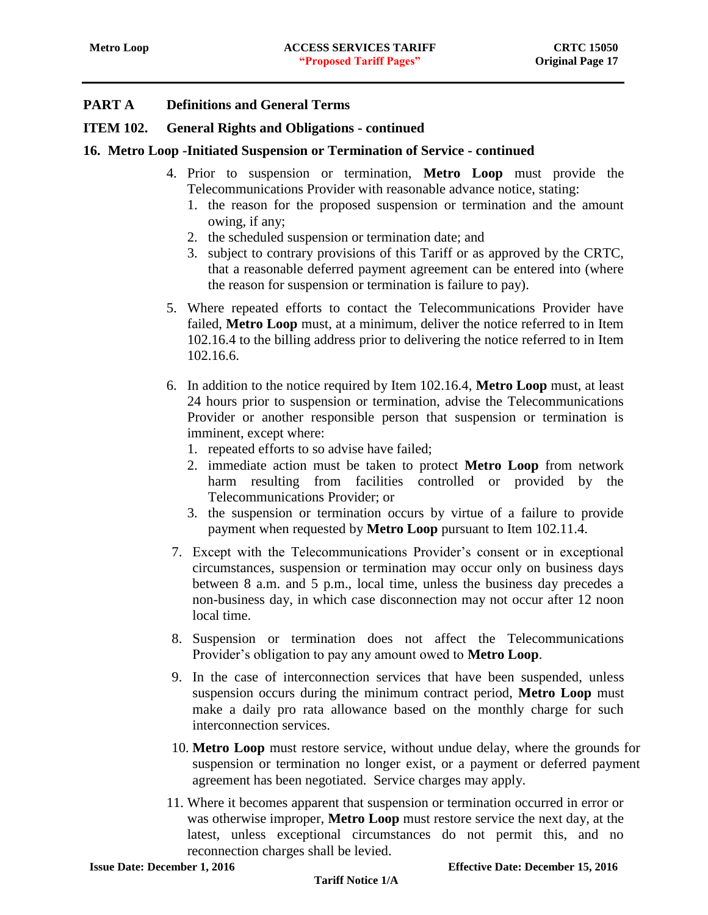### **ITEM 102. General Rights and Obligations - continued**

### **16. Metro Loop -Initiated Suspension or Termination of Service - continued**

- 4. Prior to suspension or termination, **Metro Loop** must provide the Telecommunications Provider with reasonable advance notice, stating:
	- 1. the reason for the proposed suspension or termination and the amount owing, if any;
	- 2. the scheduled suspension or termination date; and
	- 3. subject to contrary provisions of this Tariff or as approved by the CRTC, that a reasonable deferred payment agreement can be entered into (where the reason for suspension or termination is failure to pay).
- 5. Where repeated efforts to contact the Telecommunications Provider have failed, **Metro Loop** must, at a minimum, deliver the notice referred to in Item 102.16.4 to the billing address prior to delivering the notice referred to in Item 102.16.6.
- 6. In addition to the notice required by Item 102.16.4, **Metro Loop** must, at least 24 hours prior to suspension or termination, advise the Telecommunications Provider or another responsible person that suspension or termination is imminent, except where:
	- 1. repeated efforts to so advise have failed;
	- 2. immediate action must be taken to protect **Metro Loop** from network harm resulting from facilities controlled or provided by the Telecommunications Provider; or
	- 3. the suspension or termination occurs by virtue of a failure to provide payment when requested by **Metro Loop** pursuant to Item 102.11.4.
- 7. Except with the Telecommunications Provider's consent or in exceptional circumstances, suspension or termination may occur only on business days between 8 a.m. and 5 p.m., local time, unless the business day precedes a non-business day, in which case disconnection may not occur after 12 noon local time.
- 8. Suspension or termination does not affect the Telecommunications Provider's obligation to pay any amount owed to **Metro Loop**.
- 9. In the case of interconnection services that have been suspended, unless suspension occurs during the minimum contract period, **Metro Loop** must make a daily pro rata allowance based on the monthly charge for such interconnection services.
- 10. **Metro Loop** must restore service, without undue delay, where the grounds for suspension or termination no longer exist, or a payment or deferred payment agreement has been negotiated. Service charges may apply.
- 11. Where it becomes apparent that suspension or termination occurred in error or was otherwise improper, **Metro Loop** must restore service the next day, at the latest, unless exceptional circumstances do not permit this, and no reconnection charges shall be levied.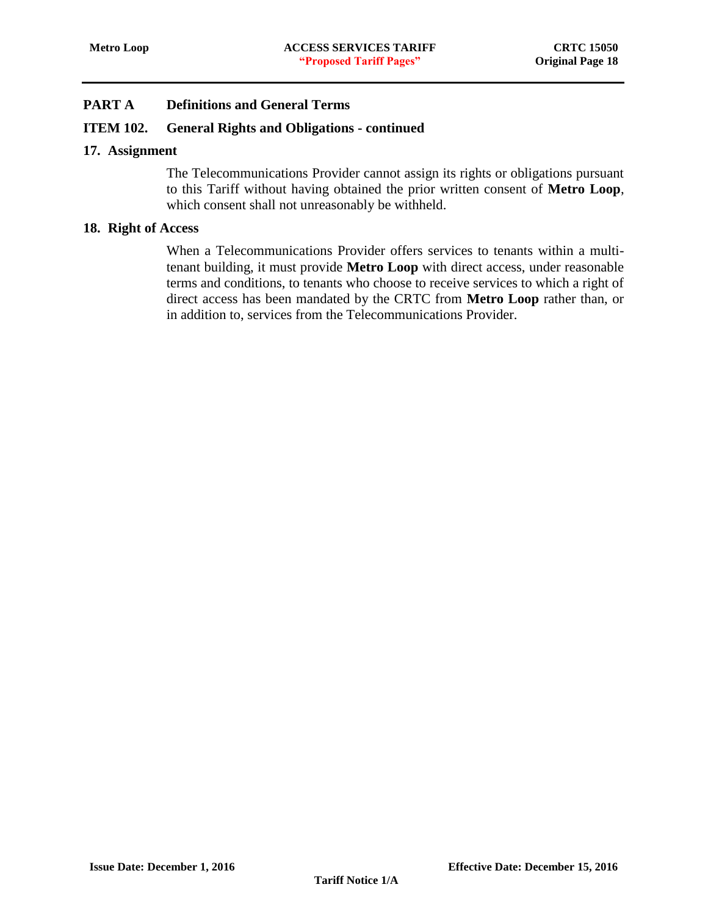### **ITEM 102. General Rights and Obligations - continued**

#### <span id="page-18-0"></span>**17. Assignment**

The Telecommunications Provider cannot assign its rights or obligations pursuant to this Tariff without having obtained the prior written consent of **Metro Loop**, which consent shall not unreasonably be withheld.

#### <span id="page-18-1"></span>**18. Right of Access**

When a Telecommunications Provider offers services to tenants within a multitenant building, it must provide **Metro Loop** with direct access, under reasonable terms and conditions, to tenants who choose to receive services to which a right of direct access has been mandated by the CRTC from **Metro Loop** rather than, or in addition to, services from the Telecommunications Provider.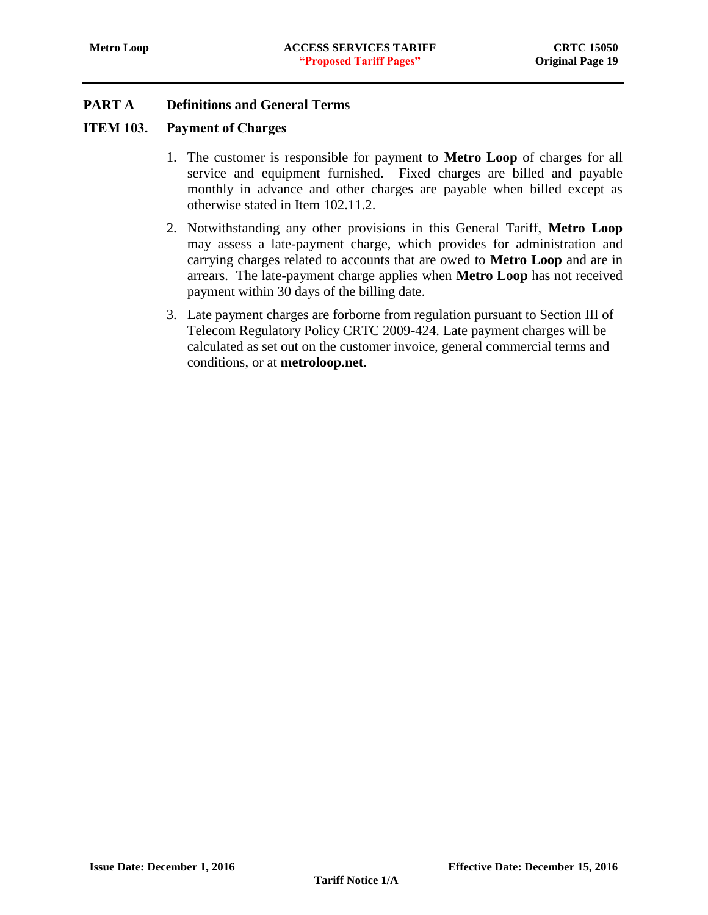### <span id="page-19-0"></span>ITEM 103. Payment of Charges

- 1. The customer is responsible for payment to **Metro Loop** of charges for all service and equipment furnished. Fixed charges are billed and payable monthly in advance and other charges are payable when billed except as otherwise stated in Item 102.11.2.
- 2. Notwithstanding any other provisions in this General Tariff, **Metro Loop** may assess a late-payment charge, which provides for administration and carrying charges related to accounts that are owed to **Metro Loop** and are in arrears. The late-payment charge applies when **Metro Loop** has not received payment within 30 days of the billing date.
- 3. Late payment charges are forborne from regulation pursuant to Section III of Telecom Regulatory Policy CRTC 2009-424. Late payment charges will be calculated as set out on the customer invoice, general commercial terms and conditions, or at **metroloop.net**.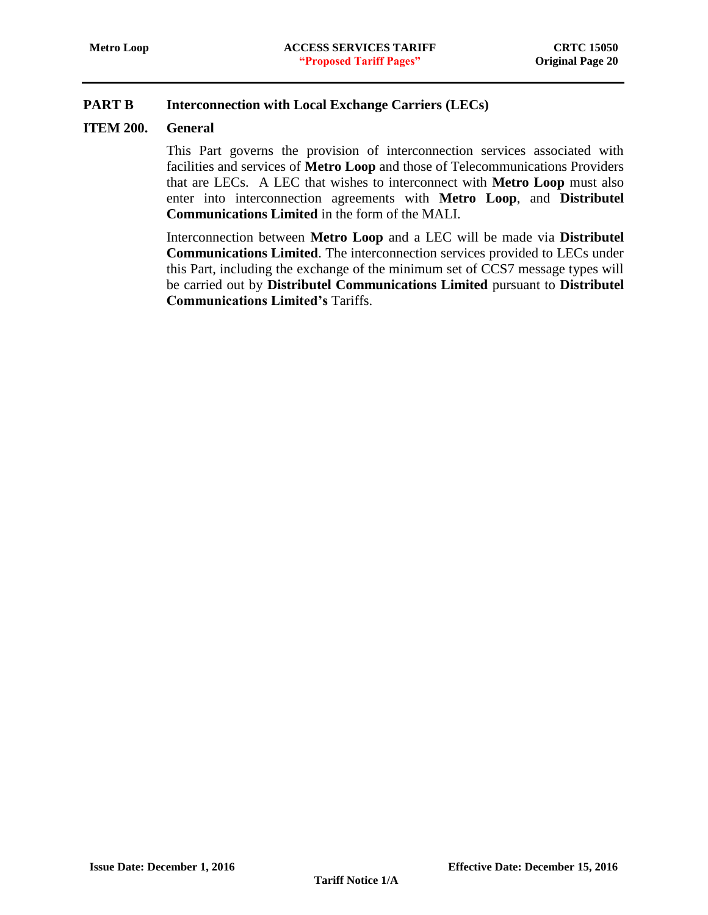# <span id="page-20-0"></span>**PART B Interconnection with Local Exchange Carriers (LECs)**

### <span id="page-20-1"></span>**ITEM 200. General**

This Part governs the provision of interconnection services associated with facilities and services of **Metro Loop** and those of Telecommunications Providers that are LECs. A LEC that wishes to interconnect with **Metro Loop** must also enter into interconnection agreements with **Metro Loop**, and **Distributel Communications Limited** in the form of the MALI.

Interconnection between **Metro Loop** and a LEC will be made via **Distributel Communications Limited**. The interconnection services provided to LECs under this Part, including the exchange of the minimum set of CCS7 message types will be carried out by **Distributel Communications Limited** pursuant to **Distributel Communications Limited's** Tariffs.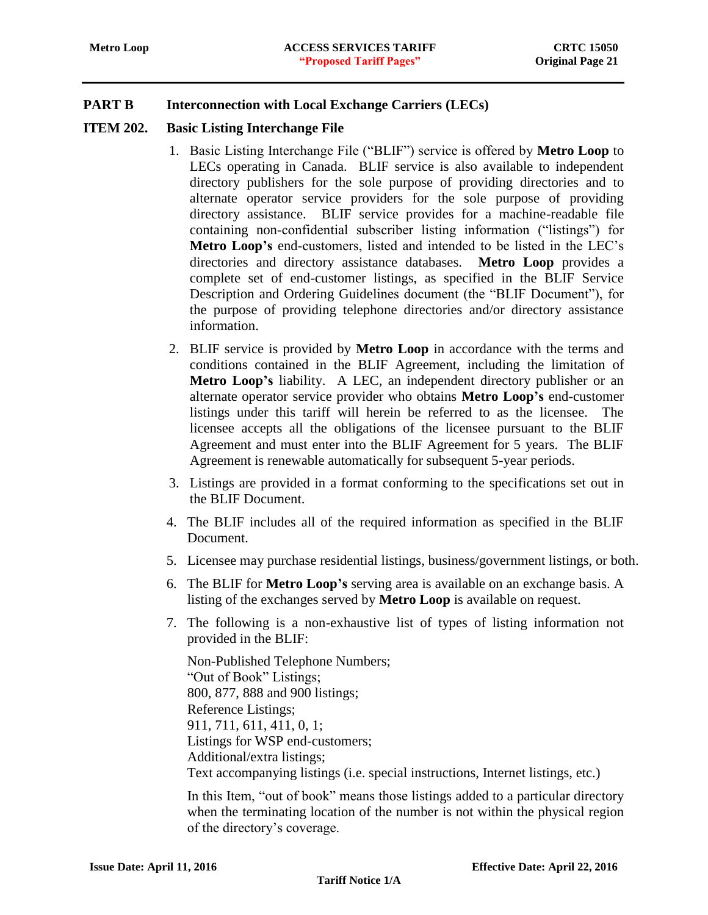# **PART B Interconnection with Local Exchange Carriers (LECs)**

#### <span id="page-21-0"></span>**ITEM 202. Basic Listing Interchange File**

- 1. Basic Listing Interchange File ("BLIF") service is offered by **Metro Loop** to LECs operating in Canada. BLIF service is also available to independent directory publishers for the sole purpose of providing directories and to alternate operator service providers for the sole purpose of providing directory assistance. BLIF service provides for a machine-readable file containing non-confidential subscriber listing information ("listings") for **Metro Loop's** end-customers, listed and intended to be listed in the LEC's directories and directory assistance databases. **Metro Loop** provides a complete set of end-customer listings, as specified in the BLIF Service Description and Ordering Guidelines document (the "BLIF Document"), for the purpose of providing telephone directories and/or directory assistance information.
- 2. BLIF service is provided by **Metro Loop** in accordance with the terms and conditions contained in the BLIF Agreement, including the limitation of **Metro Loop's** liability. A LEC, an independent directory publisher or an alternate operator service provider who obtains **Metro Loop's** end-customer listings under this tariff will herein be referred to as the licensee. The licensee accepts all the obligations of the licensee pursuant to the BLIF Agreement and must enter into the BLIF Agreement for 5 years. The BLIF Agreement is renewable automatically for subsequent 5-year periods.
- 3. Listings are provided in a format conforming to the specifications set out in the BLIF Document.
- 4. The BLIF includes all of the required information as specified in the BLIF Document.
- 5. Licensee may purchase residential listings, business/government listings, or both.
- 6. The BLIF for **Metro Loop's** serving area is available on an exchange basis. A listing of the exchanges served by **Metro Loop** is available on request.
- 7. The following is a non-exhaustive list of types of listing information not provided in the BLIF:

Non-Published Telephone Numbers; "Out of Book" Listings; 800, 877, 888 and 900 listings; Reference Listings; 911, 711, 611, 411, 0, 1; Listings for WSP end-customers; Additional/extra listings; Text accompanying listings (i.e. special instructions, Internet listings, etc.)

In this Item, "out of book" means those listings added to a particular directory when the terminating location of the number is not within the physical region of the directory's coverage.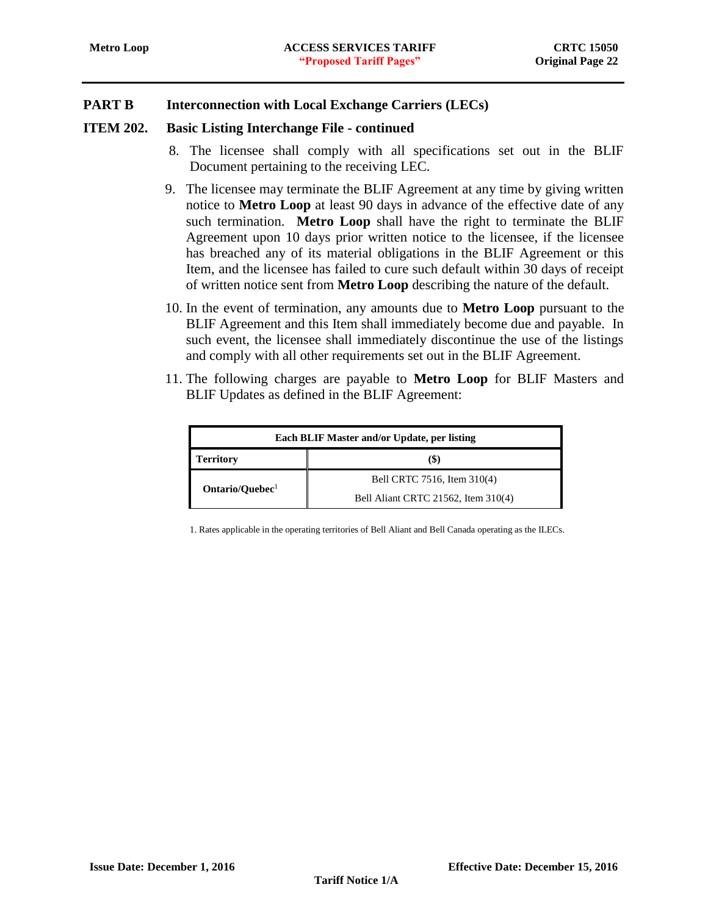### **PART B Interconnection with Local Exchange Carriers (LECs)**

#### **ITEM 202. Basic Listing Interchange File - continued**

- 8. The licensee shall comply with all specifications set out in the BLIF Document pertaining to the receiving LEC.
- 9. The licensee may terminate the BLIF Agreement at any time by giving written notice to **Metro Loop** at least 90 days in advance of the effective date of any such termination. **Metro Loop** shall have the right to terminate the BLIF Agreement upon 10 days prior written notice to the licensee, if the licensee has breached any of its material obligations in the BLIF Agreement or this Item, and the licensee has failed to cure such default within 30 days of receipt of written notice sent from **Metro Loop** describing the nature of the default.
- 10. In the event of termination, any amounts due to **Metro Loop** pursuant to the BLIF Agreement and this Item shall immediately become due and payable. In such event, the licensee shall immediately discontinue the use of the listings and comply with all other requirements set out in the BLIF Agreement.
- 11. The following charges are payable to **Metro Loop** for BLIF Masters and BLIF Updates as defined in the BLIF Agreement:

| Each BLIF Master and/or Update, per listing |                                     |  |  |  |
|---------------------------------------------|-------------------------------------|--|--|--|
| <b>Territory</b>                            | (\$)                                |  |  |  |
|                                             | Bell CRTC 7516, Item 310(4)         |  |  |  |
| Ontario/Ouebec <sup>1</sup>                 | Bell Aliant CRTC 21562, Item 310(4) |  |  |  |

1. Rates applicable in the operating territories of Bell Aliant and Bell Canada operating as the ILECs.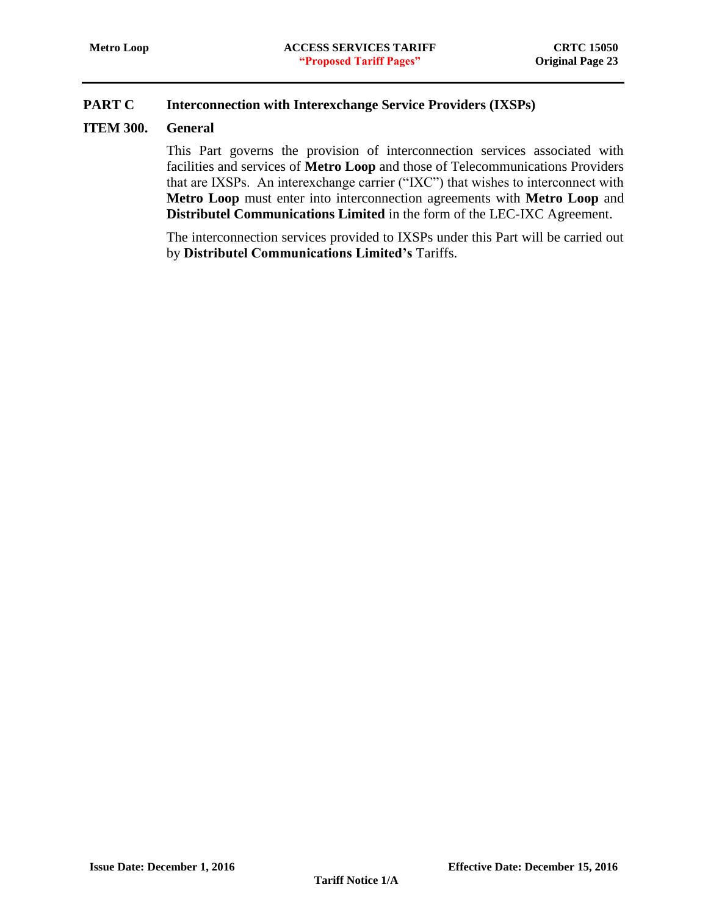# <span id="page-23-0"></span>**PART C Interconnection with Interexchange Service Providers (IXSPs)**

### <span id="page-23-1"></span>**ITEM 300. General**

This Part governs the provision of interconnection services associated with facilities and services of **Metro Loop** and those of Telecommunications Providers that are IXSPs. An interexchange carrier ("IXC") that wishes to interconnect with **Metro Loop** must enter into interconnection agreements with **Metro Loop** and **Distributel Communications Limited** in the form of the LEC-IXC Agreement.

The interconnection services provided to IXSPs under this Part will be carried out by **Distributel Communications Limited's** Tariffs.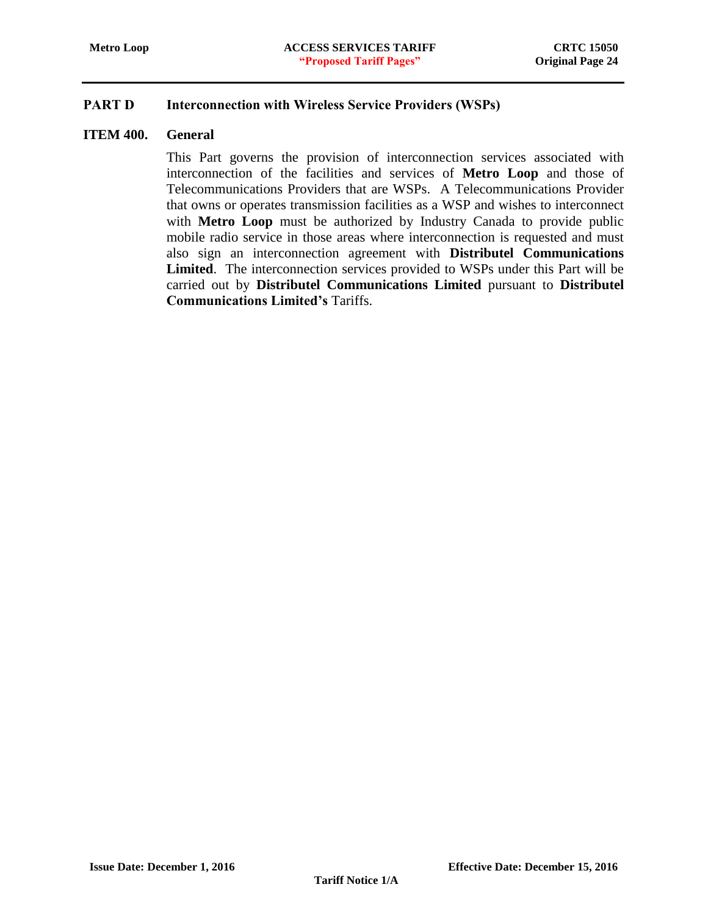### <span id="page-24-0"></span>PART D Interconnection with Wireless Service Providers (WSPs)

#### <span id="page-24-1"></span>**ITEM 400. General**

This Part governs the provision of interconnection services associated with interconnection of the facilities and services of **Metro Loop** and those of Telecommunications Providers that are WSPs. A Telecommunications Provider that owns or operates transmission facilities as a WSP and wishes to interconnect with **Metro Loop** must be authorized by Industry Canada to provide public mobile radio service in those areas where interconnection is requested and must also sign an interconnection agreement with **Distributel Communications Limited**. The interconnection services provided to WSPs under this Part will be carried out by **Distributel Communications Limited** pursuant to **Distributel Communications Limited's** Tariffs.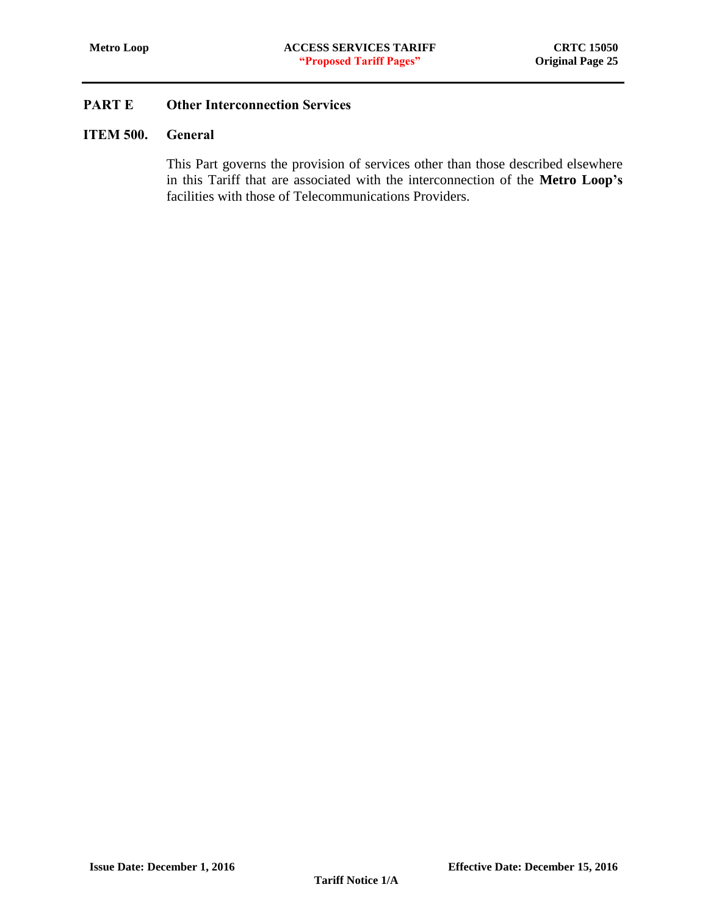### <span id="page-25-1"></span><span id="page-25-0"></span>ITEM 500. General

This Part governs the provision of services other than those described elsewhere in this Tariff that are associated with the interconnection of the **Metro Loop's** facilities with those of Telecommunications Providers.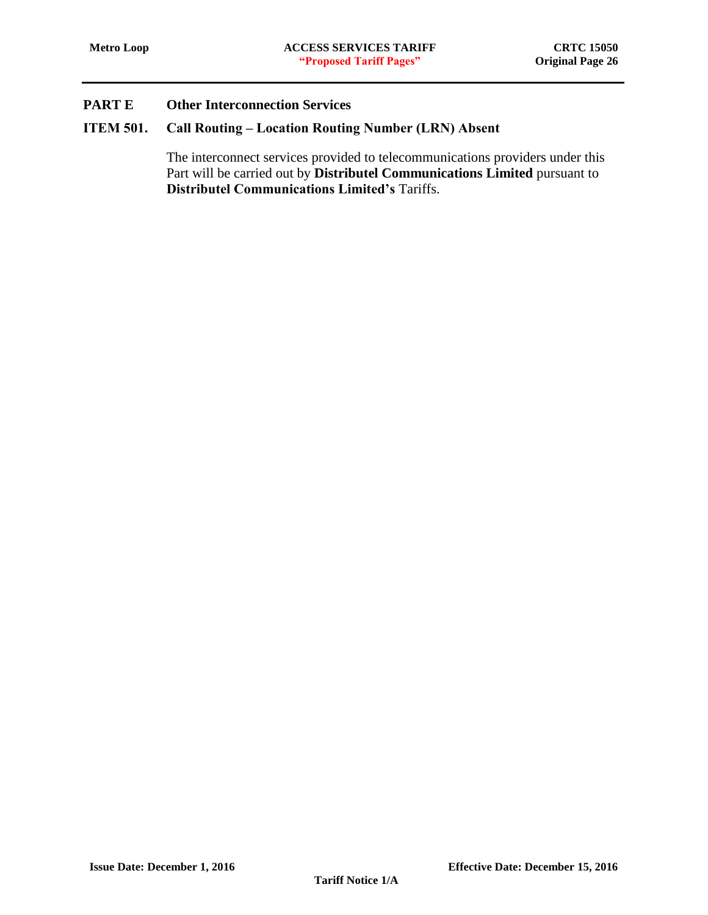# <span id="page-26-0"></span>ITEM 501. Call Routing – Location Routing Number (LRN) Absent

The interconnect services provided to telecommunications providers under this Part will be carried out by **Distributel Communications Limited** pursuant to **Distributel Communications Limited's** Tariffs.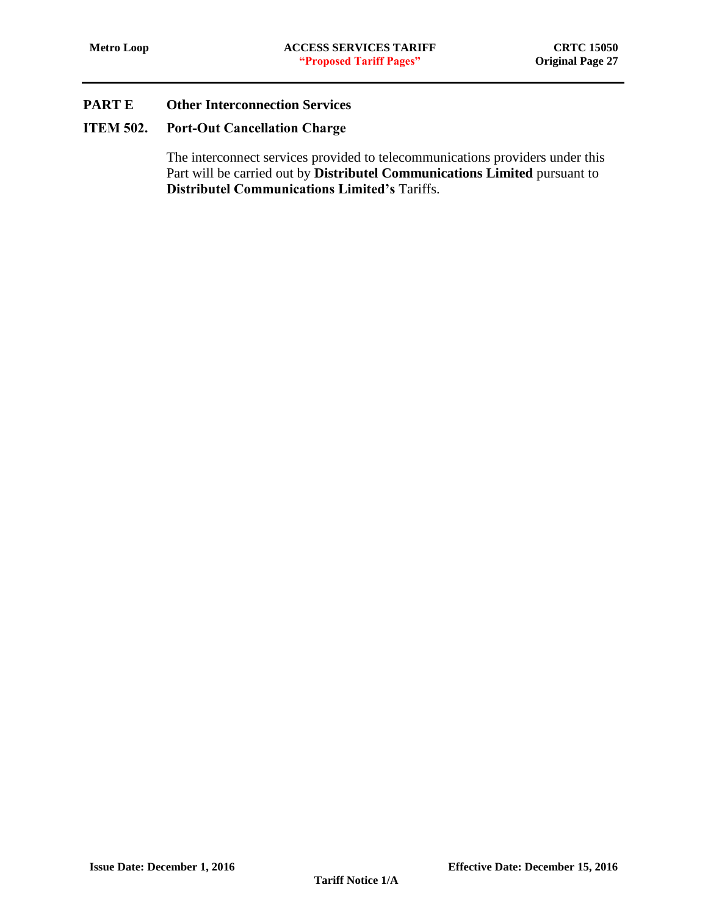# <span id="page-27-0"></span>ITEM 502. Port-Out Cancellation Charge

The interconnect services provided to telecommunications providers under this Part will be carried out by **Distributel Communications Limited** pursuant to **Distributel Communications Limited's** Tariffs.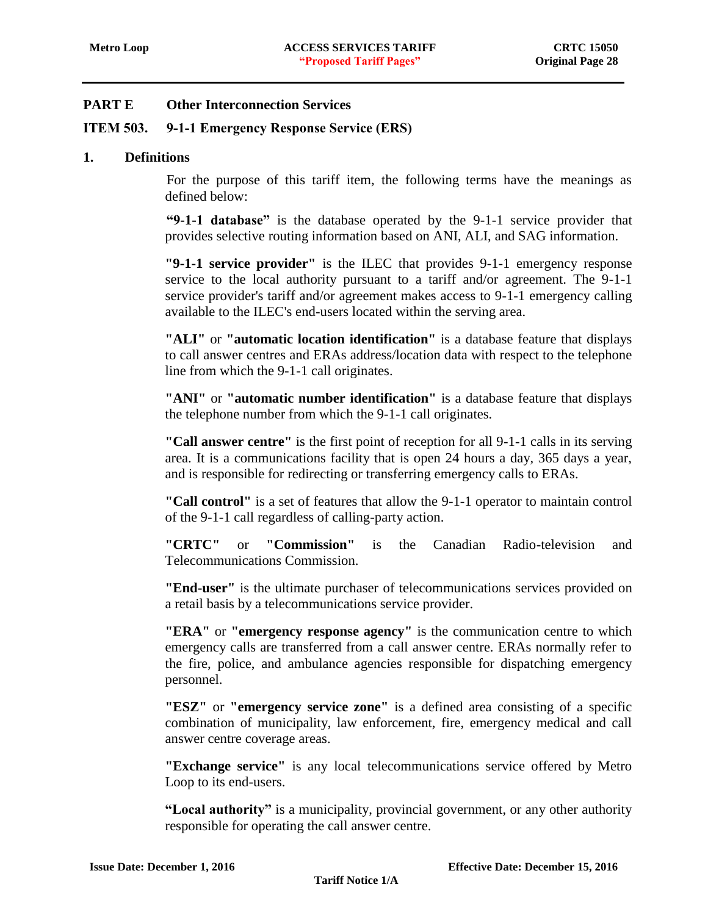### <span id="page-28-0"></span>ITEM 503. 9-1-1 Emergency Response Service (ERS)

#### **1. Definitions**

For the purpose of this tariff item, the following terms have the meanings as defined below:

**"9-1-1 database"** is the database operated by the 9-1-1 service provider that provides selective routing information based on ANI, ALI, and SAG information.

**"9-1-1 service provider"** is the ILEC that provides 9-1-1 emergency response service to the local authority pursuant to a tariff and/or agreement. The 9-1-1 service provider's tariff and/or agreement makes access to 9-1-1 emergency calling available to the ILEC's end-users located within the serving area.

**"ALI"** or **"automatic location identification"** is a database feature that displays to call answer centres and ERAs address/location data with respect to the telephone line from which the 9-1-1 call originates.

**"ANI"** or **"automatic number identification"** is a database feature that displays the telephone number from which the 9-1-1 call originates.

**"Call answer centre"** is the first point of reception for all 9-1-1 calls in its serving area. It is a communications facility that is open 24 hours a day, 365 days a year, and is responsible for redirecting or transferring emergency calls to ERAs.

**"Call control"** is a set of features that allow the 9-1-1 operator to maintain control of the 9-1-1 call regardless of calling-party action.

**"CRTC"** or **"Commission"** is the Canadian Radio-television and Telecommunications Commission.

**"End-user"** is the ultimate purchaser of telecommunications services provided on a retail basis by a telecommunications service provider.

**"ERA"** or **"emergency response agency"** is the communication centre to which emergency calls are transferred from a call answer centre. ERAs normally refer to the fire, police, and ambulance agencies responsible for dispatching emergency personnel.

**"ESZ"** or **"emergency service zone"** is a defined area consisting of a specific combination of municipality, law enforcement, fire, emergency medical and call answer centre coverage areas.

**"Exchange service"** is any local telecommunications service offered by Metro Loop to its end-users.

**"Local authority"** is a municipality, provincial government, or any other authority responsible for operating the call answer centre.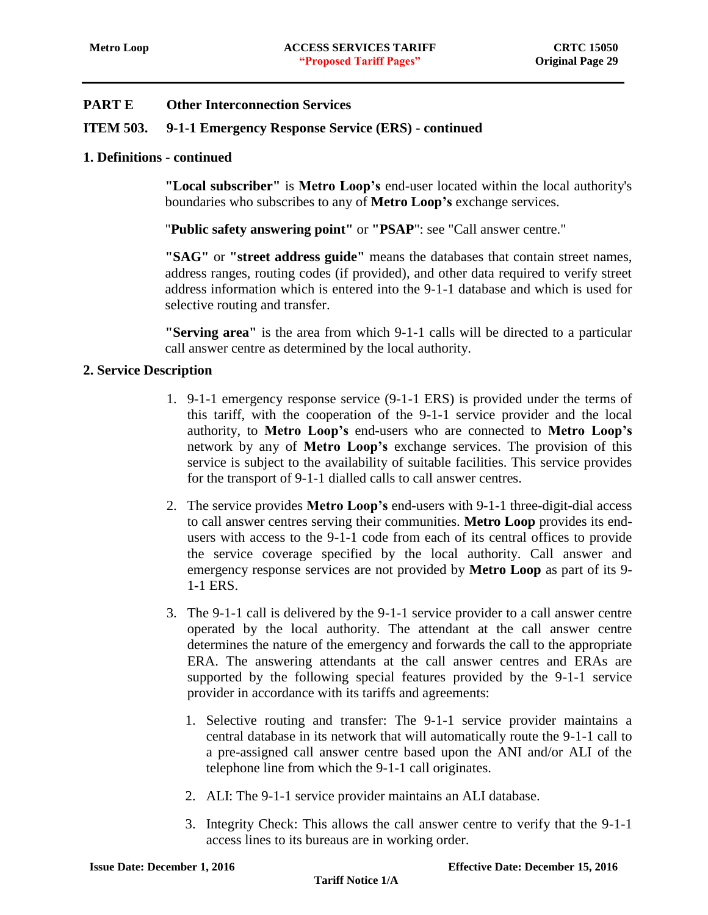### **ITEM 503. 9-1-1 Emergency Response Service (ERS) - continued**

### **1. Definitions - continued**

**"Local subscriber"** is **Metro Loop's** end-user located within the local authority's boundaries who subscribes to any of **Metro Loop's** exchange services.

"**Public safety answering point"** or **"PSAP**": see "Call answer centre."

**"SAG"** or **"street address guide"** means the databases that contain street names, address ranges, routing codes (if provided), and other data required to verify street address information which is entered into the 9-1-1 database and which is used for selective routing and transfer.

**"Serving area"** is the area from which 9-1-1 calls will be directed to a particular call answer centre as determined by the local authority.

#### **2. Service Description**

- 1. 9-1-1 emergency response service (9-1-1 ERS) is provided under the terms of this tariff, with the cooperation of the 9-1-1 service provider and the local authority, to **Metro Loop's** end-users who are connected to **Metro Loop's** network by any of **Metro Loop's** exchange services. The provision of this service is subject to the availability of suitable facilities. This service provides for the transport of 9-1-1 dialled calls to call answer centres.
- 2. The service provides **Metro Loop's** end-users with 9-1-1 three-digit-dial access to call answer centres serving their communities. **Metro Loop** provides its endusers with access to the 9-1-1 code from each of its central offices to provide the service coverage specified by the local authority. Call answer and emergency response services are not provided by **Metro Loop** as part of its 9- 1-1 ERS.
- 3. The 9-1-1 call is delivered by the 9-1-1 service provider to a call answer centre operated by the local authority. The attendant at the call answer centre determines the nature of the emergency and forwards the call to the appropriate ERA. The answering attendants at the call answer centres and ERAs are supported by the following special features provided by the 9-1-1 service provider in accordance with its tariffs and agreements:
	- 1. Selective routing and transfer: The 9-1-1 service provider maintains a central database in its network that will automatically route the 9-1-1 call to a pre-assigned call answer centre based upon the ANI and/or ALI of the telephone line from which the 9-1-1 call originates.
	- 2. ALI: The 9-1-1 service provider maintains an ALI database.
	- 3. Integrity Check: This allows the call answer centre to verify that the 9-1-1 access lines to its bureaus are in working order.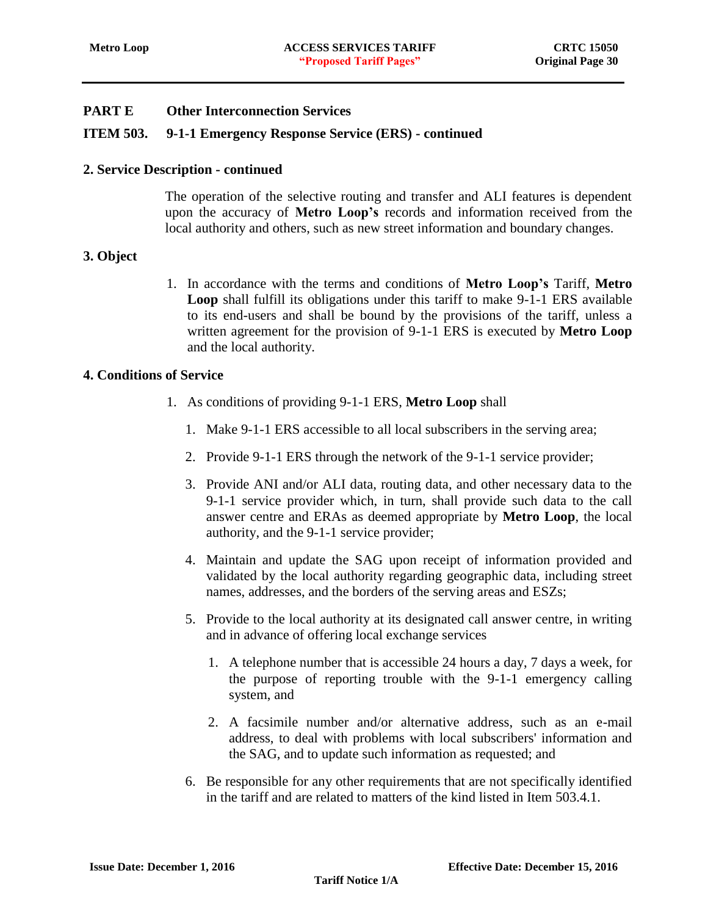### **ITEM 503. 9-1-1 Emergency Response Service (ERS) - continued**

#### **2. Service Description - continued**

The operation of the selective routing and transfer and ALI features is dependent upon the accuracy of **Metro Loop's** records and information received from the local authority and others, such as new street information and boundary changes.

#### **3. Object**

1. In accordance with the terms and conditions of **Metro Loop's** Tariff, **Metro Loop** shall fulfill its obligations under this tariff to make 9-1-1 ERS available to its end-users and shall be bound by the provisions of the tariff, unless a written agreement for the provision of 9-1-1 ERS is executed by **Metro Loop** and the local authority.

### **4. Conditions of Service**

- 1. As conditions of providing 9-1-1 ERS, **Metro Loop** shall
	- 1. Make 9-1-1 ERS accessible to all local subscribers in the serving area;
	- 2. Provide 9-1-1 ERS through the network of the 9-1-1 service provider;
	- 3. Provide ANI and/or ALI data, routing data, and other necessary data to the 9-1-1 service provider which, in turn, shall provide such data to the call answer centre and ERAs as deemed appropriate by **Metro Loop**, the local authority, and the 9-1-1 service provider;
	- 4. Maintain and update the SAG upon receipt of information provided and validated by the local authority regarding geographic data, including street names, addresses, and the borders of the serving areas and ESZs;
	- 5. Provide to the local authority at its designated call answer centre, in writing and in advance of offering local exchange services
		- 1. A telephone number that is accessible 24 hours a day, 7 days a week, for the purpose of reporting trouble with the 9-1-1 emergency calling system, and
		- 2. A facsimile number and/or alternative address, such as an e-mail address, to deal with problems with local subscribers' information and the SAG, and to update such information as requested; and
	- 6. Be responsible for any other requirements that are not specifically identified in the tariff and are related to matters of the kind listed in Item 503.4.1.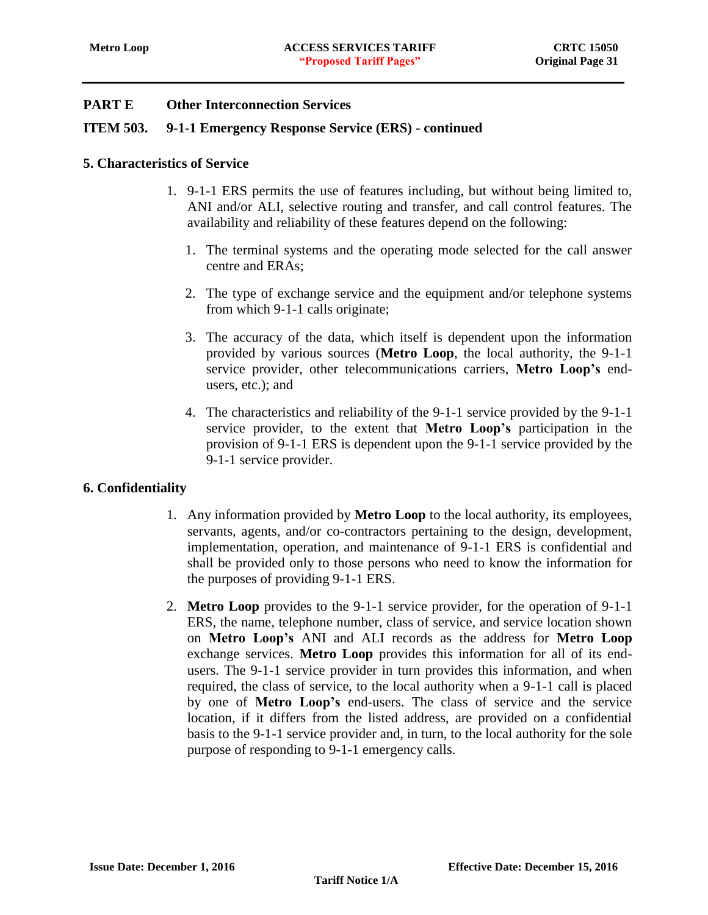### **ITEM 503. 9-1-1 Emergency Response Service (ERS) - continued**

#### **5. Characteristics of Service**

- 1. 9-1-1 ERS permits the use of features including, but without being limited to, ANI and/or ALI, selective routing and transfer, and call control features. The availability and reliability of these features depend on the following:
	- 1. The terminal systems and the operating mode selected for the call answer centre and ERAs;
	- 2. The type of exchange service and the equipment and/or telephone systems from which 9-1-1 calls originate;
	- 3. The accuracy of the data, which itself is dependent upon the information provided by various sources (**Metro Loop**, the local authority, the 9-1-1 service provider, other telecommunications carriers, **Metro Loop's** endusers, etc.); and
	- 4. The characteristics and reliability of the 9-1-1 service provided by the 9-1-1 service provider, to the extent that **Metro Loop's** participation in the provision of 9-1-1 ERS is dependent upon the 9-1-1 service provided by the 9-1-1 service provider.

### **6. Confidentiality**

- 1. Any information provided by **Metro Loop** to the local authority, its employees, servants, agents, and/or co-contractors pertaining to the design, development, implementation, operation, and maintenance of 9-1-1 ERS is confidential and shall be provided only to those persons who need to know the information for the purposes of providing 9-1-1 ERS.
- 2. **Metro Loop** provides to the 9-1-1 service provider, for the operation of 9-1-1 ERS, the name, telephone number, class of service, and service location shown on **Metro Loop's** ANI and ALI records as the address for **Metro Loop** exchange services. **Metro Loop** provides this information for all of its endusers. The 9-1-1 service provider in turn provides this information, and when required, the class of service, to the local authority when a 9-1-1 call is placed by one of **Metro Loop's** end-users. The class of service and the service location, if it differs from the listed address, are provided on a confidential basis to the 9-1-1 service provider and, in turn, to the local authority for the sole purpose of responding to 9-1-1 emergency calls.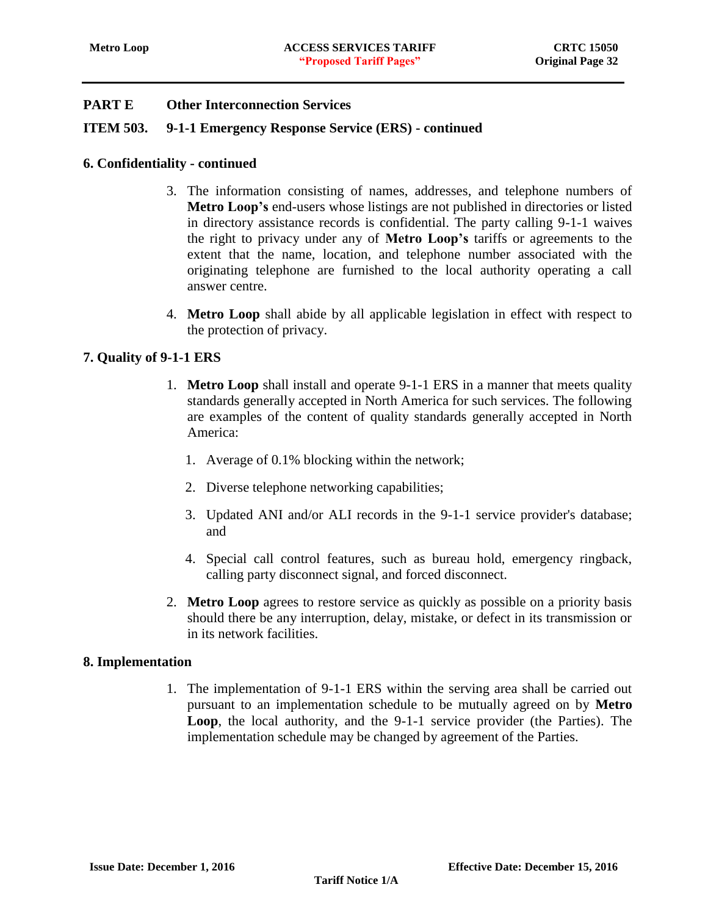### **ITEM 503. 9-1-1 Emergency Response Service (ERS) - continued**

#### **6. Confidentiality - continued**

- 3. The information consisting of names, addresses, and telephone numbers of **Metro Loop's** end-users whose listings are not published in directories or listed in directory assistance records is confidential. The party calling 9-1-1 waives the right to privacy under any of **Metro Loop's** tariffs or agreements to the extent that the name, location, and telephone number associated with the originating telephone are furnished to the local authority operating a call answer centre.
- 4. **Metro Loop** shall abide by all applicable legislation in effect with respect to the protection of privacy.

#### **7. Quality of 9-1-1 ERS**

- 1. **Metro Loop** shall install and operate 9-1-1 ERS in a manner that meets quality standards generally accepted in North America for such services. The following are examples of the content of quality standards generally accepted in North America:
	- 1. Average of 0.1% blocking within the network;
	- 2. Diverse telephone networking capabilities;
	- 3. Updated ANI and/or ALI records in the 9-1-1 service provider's database; and
	- 4. Special call control features, such as bureau hold, emergency ringback, calling party disconnect signal, and forced disconnect.
- 2. **Metro Loop** agrees to restore service as quickly as possible on a priority basis should there be any interruption, delay, mistake, or defect in its transmission or in its network facilities.

#### **8. Implementation**

1. The implementation of 9-1-1 ERS within the serving area shall be carried out pursuant to an implementation schedule to be mutually agreed on by **Metro Loop**, the local authority, and the 9-1-1 service provider (the Parties). The implementation schedule may be changed by agreement of the Parties.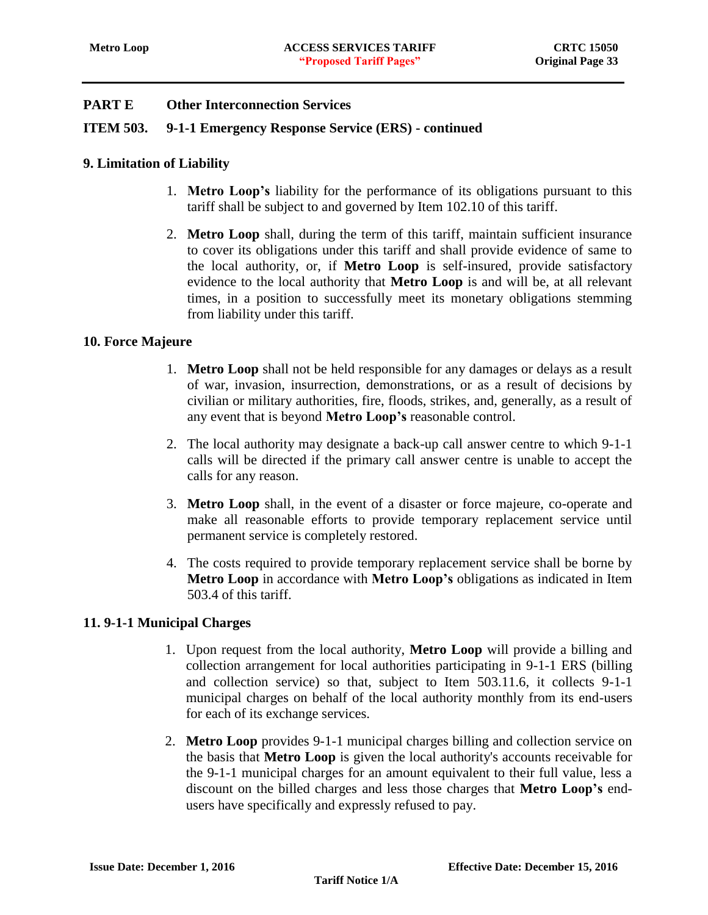### **ITEM 503. 9-1-1 Emergency Response Service (ERS) - continued**

### **9. Limitation of Liability**

- 1. **Metro Loop's** liability for the performance of its obligations pursuant to this tariff shall be subject to and governed by Item 102.10 of this tariff.
- 2. **Metro Loop** shall, during the term of this tariff, maintain sufficient insurance to cover its obligations under this tariff and shall provide evidence of same to the local authority, or, if **Metro Loop** is self-insured, provide satisfactory evidence to the local authority that **Metro Loop** is and will be, at all relevant times, in a position to successfully meet its monetary obligations stemming from liability under this tariff.

#### **10. Force Majeure**

- 1. **Metro Loop** shall not be held responsible for any damages or delays as a result of war, invasion, insurrection, demonstrations, or as a result of decisions by civilian or military authorities, fire, floods, strikes, and, generally, as a result of any event that is beyond **Metro Loop's** reasonable control.
- 2. The local authority may designate a back-up call answer centre to which 9-1-1 calls will be directed if the primary call answer centre is unable to accept the calls for any reason.
- 3. **Metro Loop** shall, in the event of a disaster or force majeure, co-operate and make all reasonable efforts to provide temporary replacement service until permanent service is completely restored.
- 4. The costs required to provide temporary replacement service shall be borne by **Metro Loop** in accordance with **Metro Loop's** obligations as indicated in Item 503.4 of this tariff.

### **11. 9-1-1 Municipal Charges**

- 1. Upon request from the local authority, **Metro Loop** will provide a billing and collection arrangement for local authorities participating in 9-1-1 ERS (billing and collection service) so that, subject to Item 503.11.6, it collects 9-1-1 municipal charges on behalf of the local authority monthly from its end-users for each of its exchange services.
- 2. **Metro Loop** provides 9-1-1 municipal charges billing and collection service on the basis that **Metro Loop** is given the local authority's accounts receivable for the 9-1-1 municipal charges for an amount equivalent to their full value, less a discount on the billed charges and less those charges that **Metro Loop's** endusers have specifically and expressly refused to pay.